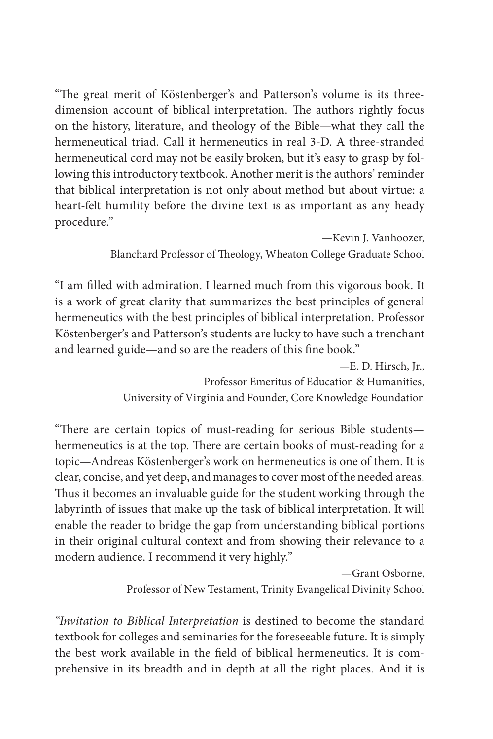"The great merit of Köstenberger's and Patterson's volume is its threedimension account of biblical interpretation. The authors rightly focus on the history, literature, and theology of the Bible—what they call the hermeneutical triad. Call it hermeneutics in real 3-D. A three-stranded hermeneutical cord may not be easily broken, but it's easy to grasp by following this introductory textbook. Another merit is the authors' reminder that biblical interpretation is not only about method but about virtue: a heart-felt humility before the divine text is as important as any heady procedure."

> —Kevin J. Vanhoozer, Blanchard Professor of Theology, Wheaton College Graduate School

"I am filled with admiration. I learned much from this vigorous book. It is a work of great clarity that summarizes the best principles of general hermeneutics with the best principles of biblical interpretation. Professor Köstenberger's and Patterson's students are lucky to have such a trenchant and learned guide—and so are the readers of this fine book."

—E. D. Hirsch, Jr.,

Professor Emeritus of Education & Humanities, University of Virginia and Founder, Core Knowledge Foundation

"There are certain topics of must-reading for serious Bible studentshermeneutics is at the top. There are certain books of must-reading for a topic—Andreas Köstenberger's work on hermeneutics is one of them. It is clear, concise, and yet deep, and manages to cover most of the needed areas. Thus it becomes an invaluable guide for the student working through the labyrinth of issues that make up the task of biblical interpretation. It will enable the reader to bridge the gap from understanding biblical portions in their original cultural context and from showing their relevance to a modern audience. I recommend it very highly."

> —Grant Osborne, Professor of New Testament, Trinity Evangelical Divinity School

"Invitation to Biblical Interpretation is destined to become the standard textbook for colleges and seminaries for the foreseeable future. It is simply the best work available in the field of biblical hermeneutics. It is comprehensive in its breadth and in depth at all the right places. And it is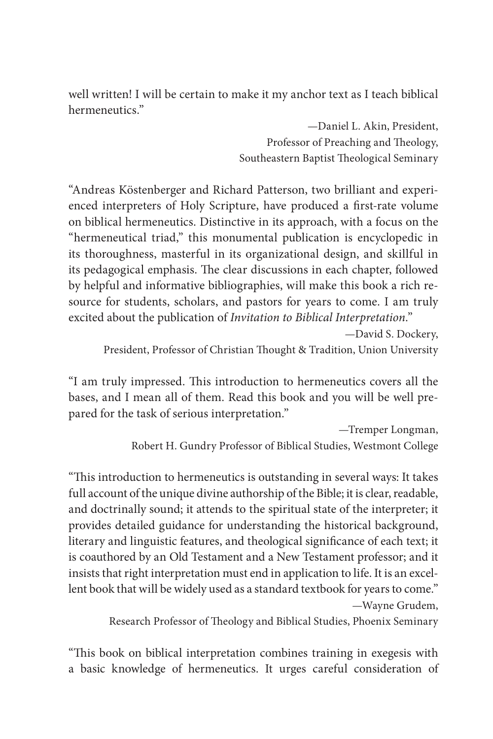well written! I will be certain to make it my anchor text as I teach biblical hermeneutics."

> —Daniel L. Akin, President, Professor of Preaching and Theology, Southeastern Baptist Theological Seminary

"Andreas Köstenberger and Richard Patterson, two brilliant and experienced interpreters of Holy Scripture, have produced a first-rate volume on biblical hermeneutics. Distinctive in its approach, with a focus on the "hermeneutical triad," this monumental publication is encyclopedic in its thoroughness, masterful in its organizational design, and skillful in its pedagogical emphasis. The clear discussions in each chapter, followed by helpful and informative bibliographies, will make this book a rich resource for students, scholars, and pastors for years to come. I am truly excited about the publication of Invitation to Biblical Interpretation."

—David S. Dockery, President, Professor of Christian Thought & Tradition, Union University

"I am truly impressed. This introduction to hermeneutics covers all the bases, and I mean all of them. Read this book and you will be well prepared for the task of serious interpretation."

> —Tremper Longman, Robert H. Gundry Professor of Biblical Studies, Westmont College

"This introduction to hermeneutics is outstanding in several ways: It takes full account of the unique divine authorship of the Bible; it is clear, readable, and doctrinally sound; it attends to the spiritual state of the interpreter; it provides detailed guidance for understanding the historical background, literary and linguistic features, and theological significance of each text; it is coauthored by an Old Testament and a New Testament professor; and it insists that right interpretation must end in application to life. It is an excellent book that will be widely used as a standard textbook for years to come." —Wayne Grudem,

Research Professor of Theology and Biblical Studies, Phoenix Seminary

"This book on biblical interpretation combines training in exegesis with a basic knowledge of hermeneutics. It urges careful consideration of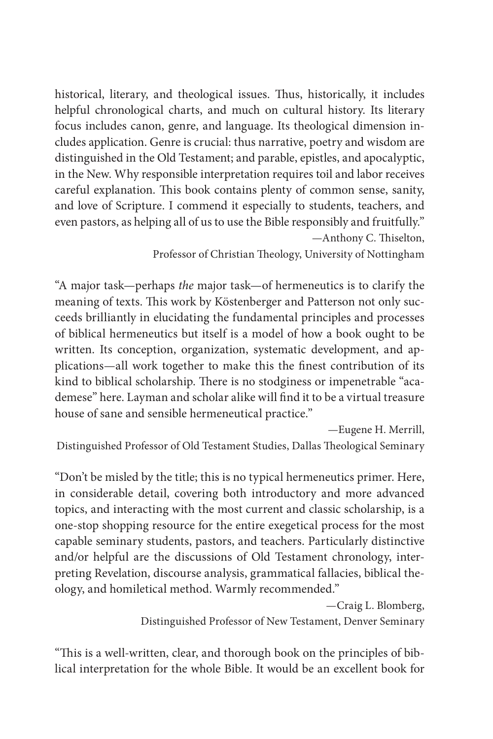historical, literary, and theological issues. Thus, historically, it includes helpful chronological charts, and much on cultural history. Its literary focus includes canon, genre, and language. Its theological dimension includes application. Genre is crucial: thus narrative, poetry and wisdom are distinguished in the Old Testament; and parable, epistles, and apocalyptic, in the New. Why responsible interpretation requires toil and labor receives careful explanation. This book contains plenty of common sense, sanity, and love of Scripture. I commend it especially to students, teachers, and even pastors, as helping all of us to use the Bible responsibly and fruitfully."  $-$ Anthony C. Thiselton,

Professor of Christian Theology, University of Nottingham

"A major task—perhaps the major task—of hermeneutics is to clarify the meaning of texts. This work by Köstenberger and Patterson not only succeeds brilliantly in elucidating the fundamental principles and processes of biblical hermeneutics but itself is a model of how a book ought to be written. Its conception, organization, systematic development, and applications—all work together to make this the finest contribution of its kind to biblical scholarship. There is no stodginess or impenetrable "academese" here. Layman and scholar alike will find it to be a virtual treasure house of sane and sensible hermeneutical practice."

—Eugene H. Merrill,

Distinguished Professor of Old Testament Studies, Dallas Theological Seminary

"Don't be misled by the title; this is no typical hermeneutics primer. Here, in considerable detail, covering both introductory and more advanced topics, and interacting with the most current and classic scholarship, is a one-stop shopping resource for the entire exegetical process for the most capable seminary students, pastors, and teachers. Particularly distinctive and/or helpful are the discussions of Old Testament chronology, interpreting Revelation, discourse analysis, grammatical fallacies, biblical theology, and homiletical method. Warmly recommended."

—Craig L. Blomberg,

Distinguished Professor of New Testament, Denver Seminary

"This is a well-written, clear, and thorough book on the principles of biblical interpretation for the whole Bible. It would be an excellent book for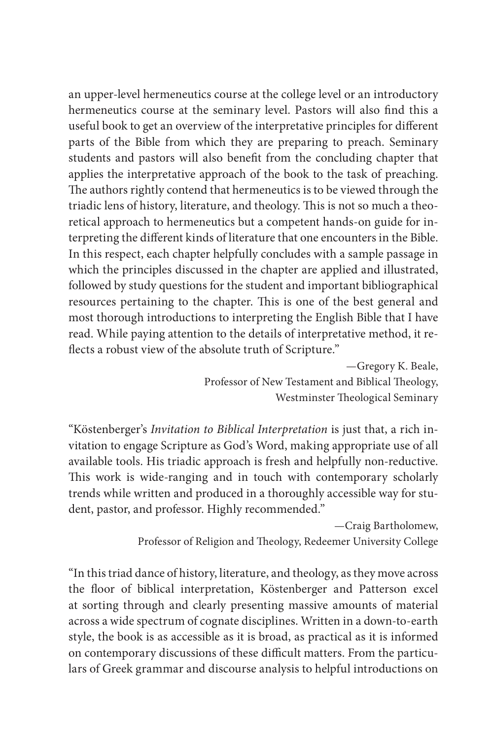an upper-level hermeneutics course at the college level or an introductory hermeneutics course at the seminary level. Pastors will also find this a useful book to get an overview of the interpretative principles for different parts of the Bible from which they are preparing to preach. Seminary students and pastors will also benefit from the concluding chapter that applies the interpretative approach of the book to the task of preaching. The authors rightly contend that hermeneutics is to be viewed through the triadic lens of history, literature, and theology. This is not so much a theoretical approach to hermeneutics but a competent hands-on guide for interpreting the different kinds of literature that one encounters in the Bible. In this respect, each chapter helpfully concludes with a sample passage in which the principles discussed in the chapter are applied and illustrated, followed by study questions for the student and important bibliographical resources pertaining to the chapter. This is one of the best general and most thorough introductions to interpreting the English Bible that I have read. While paying attention to the details of interpretative method, it re flects a robust view of the absolute truth of Scripture."

> —Gregory K. Beale, Professor of New Testament and Biblical Theology, Westminster Theological Seminary

"Köstenberger's Invitation to Biblical Interpretation is just that, a rich invitation to engage Scripture as God's Word, making appropriate use of all available tools. His triadic approach is fresh and helpfully non-reductive. This work is wide-ranging and in touch with contemporary scholarly trends while written and produced in a thoroughly accessible way for student, pastor, and professor. Highly recommended."

> —Craig Bartholomew, Professor of Religion and Theology, Redeemer University College

"In this triad dance of history, literature, and theology, as they move across the floor of biblical interpretation, Köstenberger and Patterson excel at sorting through and clearly presenting massive amounts of material across a wide spectrum of cognate disciplines. Written in a down-to-earth style, the book is as accessible as it is broad, as practical as it is informed on contemporary discussions of these difficult matters. From the particulars of Greek grammar and discourse analysis to helpful introductions on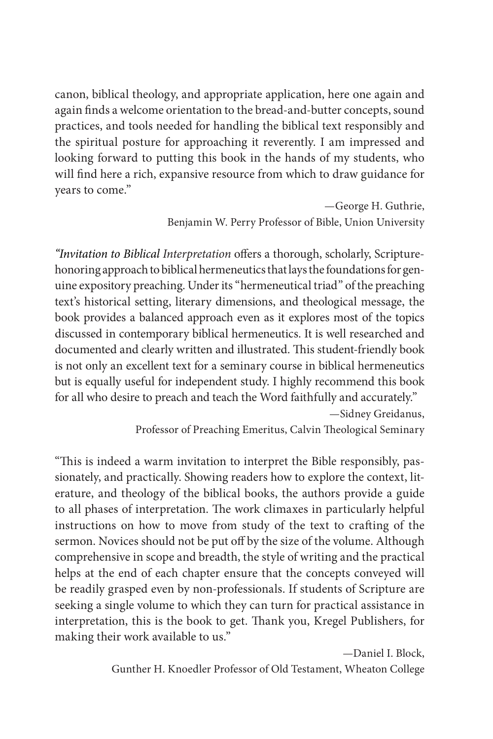canon, biblical theology, and appropriate application, here one again and again finds a welcome orientation to the bread-and-butter concepts, sound practices, and tools needed for handling the biblical text responsibly and the spiritual posture for approaching it reverently. I am impressed and looking forward to putting this book in the hands of my students, who will find here a rich, expansive resource from which to draw guidance for years to come."

> —George H. Guthrie, Benjamin W. Perry Professor of Bible, Union University

"Invitation to Biblical Interpretation offers a thorough, scholarly, Scripturehonoring approach to biblical hermeneutics that lays the foundations for genuine expository preaching. Under its "hermeneutical triad" of the preaching text's historical setting, literary dimensions, and theological message, the book provides a balanced approach even as it explores most of the topics discussed in contemporary biblical hermeneutics. It is well researched and documented and clearly written and illustrated. This student-friendly book is not only an excellent text for a seminary course in biblical hermeneutics but is equally useful for independent study. I highly recommend this book for all who desire to preach and teach the Word faithfully and accurately."

—Sidney Greidanus, Professor of Preaching Emeritus, Calvin Theological Seminary

"This is indeed a warm invitation to interpret the Bible responsibly, passionately, and practically. Showing readers how to explore the context, literature, and theology of the biblical books, the authors provide a guide to all phases of interpretation. The work climaxes in particularly helpful instructions on how to move from study of the text to crafting of the sermon. Novices should not be put off by the size of the volume. Although comprehensive in scope and breadth, the style of writing and the practical helps at the end of each chapter ensure that the concepts conveyed will be readily grasped even by non-professionals. If students of Scripture are seeking a single volume to which they can turn for practical assistance in interpretation, this is the book to get. Thank you, Kregel Publishers, for making their work available to us."

—Daniel I. Block,

Gunther H. Knoedler Professor of Old Testament, Wheaton College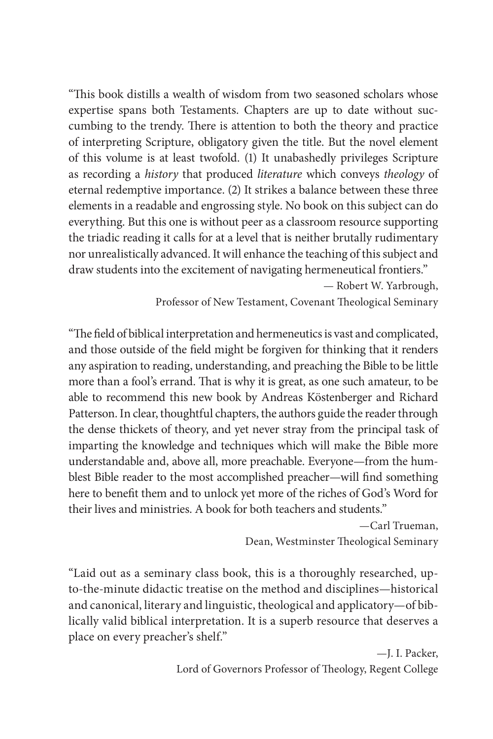"This book distills a wealth of wisdom from two seasoned scholars whose expertise spans both Testaments. Chapters are up to date without succumbing to the trendy. There is attention to both the theory and practice of interpreting Scripture, obligatory given the title. But the novel element of this volume is at least twofold. (1) It unabashedly privileges Scripture as recording a history that produced literature which conveys theology of eternal redemptive importance. (2) It strikes a balance between these three elements in a readable and engrossing style. No book on this subject can do everything. But this one is without peer as a classroom resource supporting the triadic reading it calls for at a level that is neither brutally rudimentary nor unrealistically advanced. It will enhance the teaching of this subject and draw students into the excitement of navigating hermeneutical frontiers."

— Robert W. Yarbrough, Professor of New Testament, Covenant Theological Seminary

"The field of biblical interpretation and hermeneutics is vast and complicated, and those outside of the field might be forgiven for thinking that it renders any aspiration to reading, understanding, and preaching the Bible to be little more than a fool's errand. That is why it is great, as one such amateur, to be able to recommend this new book by Andreas Köstenberger and Richard Patterson. In clear, thoughtful chapters, the authors guide the reader through the dense thickets of theory, and yet never stray from the principal task of imparting the knowledge and techniques which will make the Bible more understandable and, above all, more preachable. Everyone—from the humblest Bible reader to the most accomplished preacher—will find something here to benefit them and to unlock yet more of the riches of God's Word for their lives and ministries. A book for both teachers and students."

> —Carl Trueman, Dean, Westminster Theological Seminary

"Laid out as a seminary class book, this is a thoroughly researched, upto-the-minute didactic treatise on the method and disciplines—historical and canonical, literary and linguistic, theological and applicatory—of biblically valid biblical interpretation. It is a superb resource that deserves a place on every preacher's shelf."

> —J. I. Packer, Lord of Governors Professor of Theology, Regent College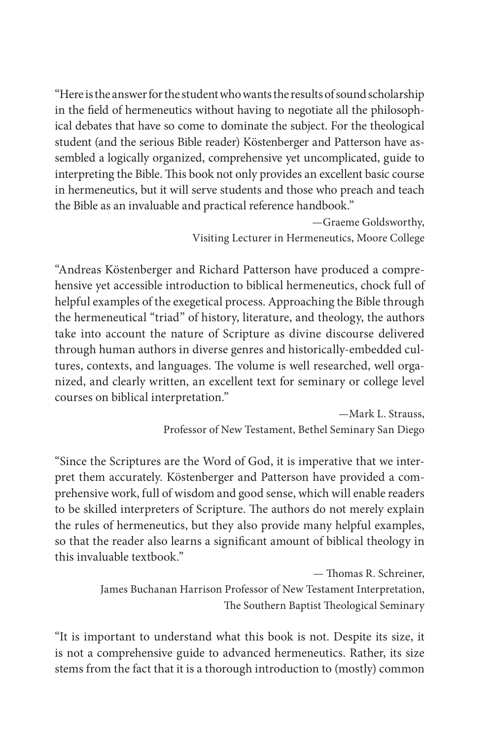"Here is the answer for the student who wants the results of sound scholarship in the field of hermeneutics without having to negotiate all the philosophical debates that have so come to dominate the subject. For the theological student (and the serious Bible reader) Köstenberger and Patterson have assembled a logically organized, comprehensive yet uncomplicated, guide to interpreting the Bible. This book not only provides an excellent basic course in hermeneutics, but it will serve students and those who preach and teach the Bible as an invaluable and practical reference handbook."

> —Graeme Goldsworthy, Visiting Lecturer in Hermeneutics, Moore College

"Andreas Köstenberger and Richard Patterson have produced a comprehensive yet accessible introduction to biblical hermeneutics, chock full of helpful examples of the exegetical process. Approaching the Bible through the hermeneutical "triad" of history, literature, and theology, the authors take into account the nature of Scripture as divine discourse delivered through human authors in diverse genres and historically-embedded cultures, contexts, and languages. The volume is well researched, well organized, and clearly written, an excellent text for seminary or college level courses on biblical interpretation."

> —Mark L. Strauss, Professor of New Testament, Bethel Seminary San Diego

"Since the Scriptures are the Word of God, it is imperative that we interpret them accurately. Köstenberger and Patterson have provided a comprehensive work, full of wisdom and good sense, which will enable readers to be skilled interpreters of Scripture. The authors do not merely explain the rules of hermeneutics, but they also provide many helpful examples, so that the reader also learns a significant amount of biblical theology in this invaluable textbook."

> — Thomas R. Schreiner, James Buchanan Harrison Professor of New Testament Interpretation, The Southern Baptist Theological Seminary

"It is important to understand what this book is not. Despite its size, it is not a comprehensive guide to advanced hermeneutics. Rather, its size stems from the fact that it is a thorough introduction to (mostly) common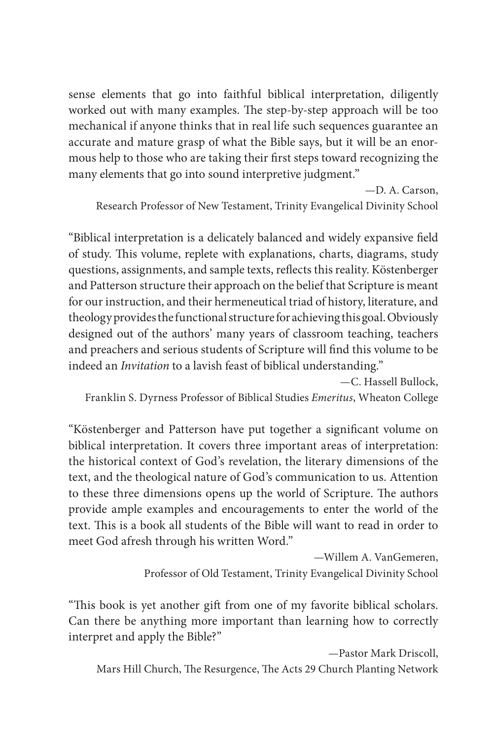sense elements that go into faithful biblical interpretation, diligently worked out with many examples. The step-by-step approach will be too mechanical if anyone thinks that in real life such sequences guarantee an accurate and mature grasp of what the Bible says, but it will be an enormous help to those who are taking their first steps toward recognizing the many elements that go into sound interpretive judgment."

—D. A. Carson, Research Professor of New Testament, Trinity Evangelical Divinity School

"Biblical interpretation is a delicately balanced and widely expansive field of study. This volume, replete with explanations, charts, diagrams, study questions, assignments, and sample texts, reflects this reality. Köstenberger and Patterson structure their approach on the belief that Scripture is meant for our instruction, and their hermeneutical triad of history, literature, and theology provides the functional structure for achieving this goal. Obviously designed out of the authors' many years of classroom teaching, teachers and preachers and serious students of Scripture will find this volume to be indeed an Invitation to a lavish feast of biblical understanding."

—C. Hassell Bullock, Franklin S. Dyrness Professor of Biblical Studies Emeritus, Wheaton College

"Köstenberger and Patterson have put together a significant volume on biblical interpretation. It covers three important areas of interpretation: the historical context of God's revelation, the literary dimensions of the text, and the theological nature of God's communication to us. Attention to these three dimensions opens up the world of Scripture. The authors provide ample examples and encouragements to enter the world of the text. This is a book all students of the Bible will want to read in order to meet God afresh through his written Word."

> —Willem A. VanGemeren, Professor of Old Testament, Trinity Evangelical Divinity School

"This book is yet another gift from one of my favorite biblical scholars. Can there be anything more important than learning how to correctly interpret and apply the Bible?"

—Pastor Mark Driscoll, Mars Hill Church, The Resurgence, The Acts 29 Church Planting Network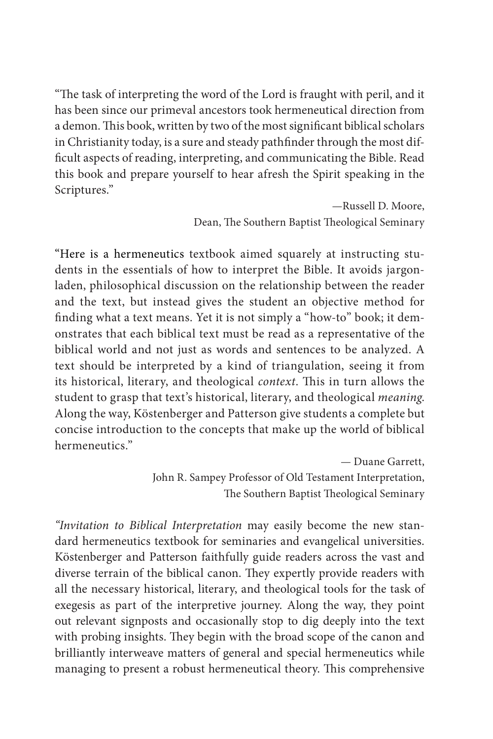"The task of interpreting the word of the Lord is fraught with peril, and it has been since our primeval ancestors took hermeneutical direction from a demon. This book, written by two of the most significant biblical scholars in Christianity today, is a sure and steady pathfinder through the most difficult aspects of reading, interpreting, and communicating the Bible. Read this book and prepare yourself to hear afresh the Spirit speaking in the Scriptures."

> —Russell D. Moore, Dean, The Southern Baptist Theological Seminary

"Here is a hermeneutics textbook aimed squarely at instructing students in the essentials of how to interpret the Bible. It avoids jargonladen, philosophical discussion on the relationship between the reader and the text, but instead gives the student an objective method for finding what a text means. Yet it is not simply a "how-to" book; it demonstrates that each biblical text must be read as a representative of the biblical world and not just as words and sentences to be analyzed. A text should be interpreted by a kind of triangulation, seeing it from its historical, literary, and theological context. This in turn allows the student to grasp that text's historical, literary, and theological meaning. Along the way, Köstenberger and Patterson give students a complete but concise introduction to the concepts that make up the world of biblical hermeneutics."

> — Duane Garrett, John R. Sampey Professor of Old Testament Interpretation, The Southern Baptist Theological Seminary

"Invitation to Biblical Interpretation may easily become the new standard hermeneutics textbook for seminaries and evangelical universities. Köstenberger and Patterson faithfully guide readers across the vast and diverse terrain of the biblical canon. They expertly provide readers with all the necessary historical, literary, and theological tools for the task of exegesis as part of the interpretive journey. Along the way, they point out relevant signposts and occasionally stop to dig deeply into the text with probing insights. They begin with the broad scope of the canon and brilliantly interweave matters of general and special hermeneutics while managing to present a robust hermeneutical theory. This comprehensive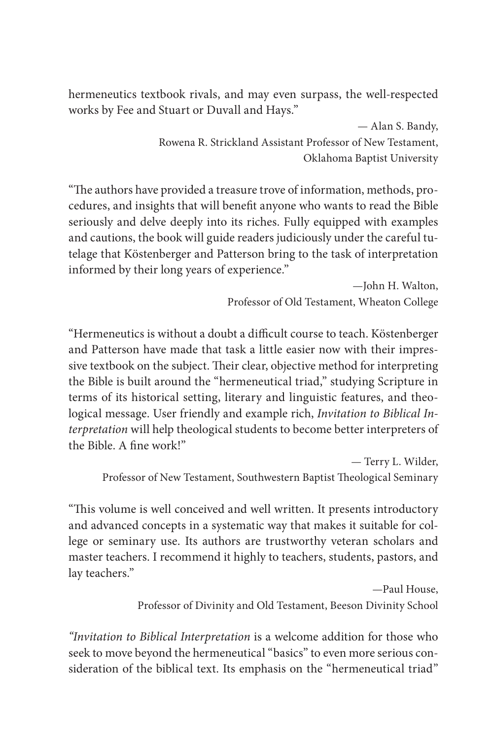hermeneutics textbook rivals, and may even surpass, the well-respected works by Fee and Stuart or Duvall and Hays."

> — Alan S. Bandy, Rowena R. Strickland Assistant Professor of New Testament, Oklahoma Baptist University

"The authors have provided a treasure trove of information, methods, procedures, and insights that will benefit anyone who wants to read the Bible seriously and delve deeply into its riches. Fully equipped with examples and cautions, the book will guide readers judiciously under the careful tutelage that Köstenberger and Patterson bring to the task of interpretation informed by their long years of experience."

> —John H. Walton, Professor of Old Testament, Wheaton College

"Hermeneutics is without a doubt a difficult course to teach. Köstenberger and Patterson have made that task a little easier now with their impressive textbook on the subject. Their clear, objective method for interpreting the Bible is built around the "hermeneutical triad," studying Scripture in terms of its historical setting, literary and linguistic features, and theological message. User friendly and example rich, Invitation to Biblical Interpretation will help theological students to become better interpreters of  $the$  Bible. A fine work!"

— Terry L. Wilder, Professor of New Testament, Southwestern Baptist Theological Seminary

"This volume is well conceived and well written. It presents introductory and advanced concepts in a systematic way that makes it suitable for college or seminary use. Its authors are trustworthy veteran scholars and master teachers. I recommend it highly to teachers, students, pastors, and lay teachers."

> —Paul House, Professor of Divinity and Old Testament, Beeson Divinity School

"Invitation to Biblical Interpretation is a welcome addition for those who seek to move beyond the hermeneutical "basics" to even more serious consideration of the biblical text. Its emphasis on the "hermeneutical triad"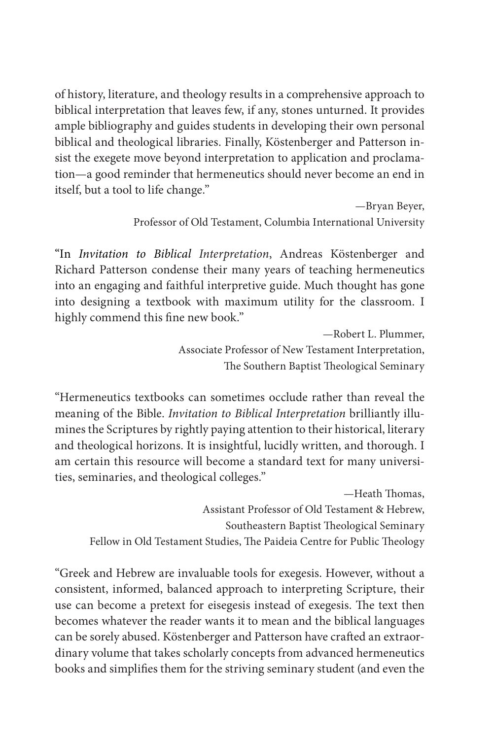of history, literature, and theology results in a comprehensive approach to biblical interpretation that leaves few, if any, stones unturned. It provides ample bibliography and guides students in developing their own personal biblical and theological libraries. Finally, Köstenberger and Patterson insist the exegete move beyond interpretation to application and proclamation—a good reminder that hermeneutics should never become an end in itself, but a tool to life change."

> —Bryan Beyer, Professor of Old Testament, Columbia International University

"In Invitation to Biblical Interpretation, Andreas Köstenberger and Richard Patterson condense their many years of teaching hermeneutics into an engaging and faithful interpretive guide. Much thought has gone into designing a textbook with maximum utility for the classroom. I highly commend this fine new book."

> —Robert L. Plummer, Associate Professor of New Testament Interpretation, The Southern Baptist Theological Seminary

"Hermeneutics textbooks can sometimes occlude rather than reveal the meaning of the Bible. Invitation to Biblical Interpretation brilliantly illumines the Scriptures by rightly paying attention to their historical, literary and theological horizons. It is insightful, lucidly written, and thorough. I am certain this resource will become a standard text for many universities, seminaries, and theological colleges."

—Heath Thomas, Assistant Professor of Old Testament & Hebrew, Southeastern Baptist Theological Seminary Fellow in Old Testament Studies, The Paideia Centre for Public Theology

"Greek and Hebrew are invaluable tools for exegesis. However, without a consistent, informed, balanced approach to interpreting Scripture, their use can become a pretext for eisegesis instead of exegesis. The text then becomes whatever the reader wants it to mean and the biblical languages can be sorely abused. Köstenberger and Patterson have crafted an extraordinary volume that takes scholarly concepts from advanced hermeneutics books and simplifies them for the striving seminary student (and even the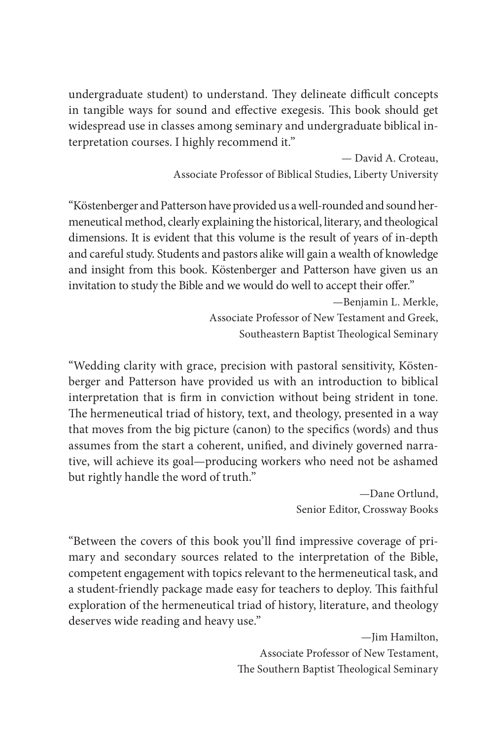undergraduate student) to understand. They delineate difficult concepts in tangible ways for sound and effective exegesis. This book should get widespread use in classes among seminary and undergraduate biblical interpretation courses. I highly recommend it."

> — David A. Croteau, Associate Professor of Biblical Studies, Liberty University

"Köstenberger and Patterson have provided us a well-rounded and sound hermeneutical method, clearly explaining the historical, literary, and theological dimensions. It is evident that this volume is the result of years of in-depth and careful study. Students and pastors alike will gain a wealth of knowledge and insight from this book. Köstenberger and Patterson have given us an invitation to study the Bible and we would do well to accept their offer."

> —Benjamin L. Merkle, Associate Professor of New Testament and Greek, Southeastern Baptist Theological Seminary

"Wedding clarity with grace, precision with pastoral sensitivity, Köstenberger and Patterson have provided us with an introduction to biblical interpretation that is firm in conviction without being strident in tone. The hermeneutical triad of history, text, and theology, presented in a way that moves from the big picture (canon) to the specifics (words) and thus assumes from the start a coherent, unified, and divinely governed narrative, will achieve its goal—producing workers who need not be ashamed but rightly handle the word of truth."

> —Dane Ortlund, Senior Editor, Crossway Books

"Between the covers of this book you'll find impressive coverage of primary and secondary sources related to the interpretation of the Bible, competent engagement with topics relevant to the hermeneutical task, and a student-friendly package made easy for teachers to deploy. This faithful exploration of the hermeneutical triad of history, literature, and theology deserves wide reading and heavy use."

> —Jim Hamilton, Associate Professor of New Testament, The Southern Baptist Theological Seminary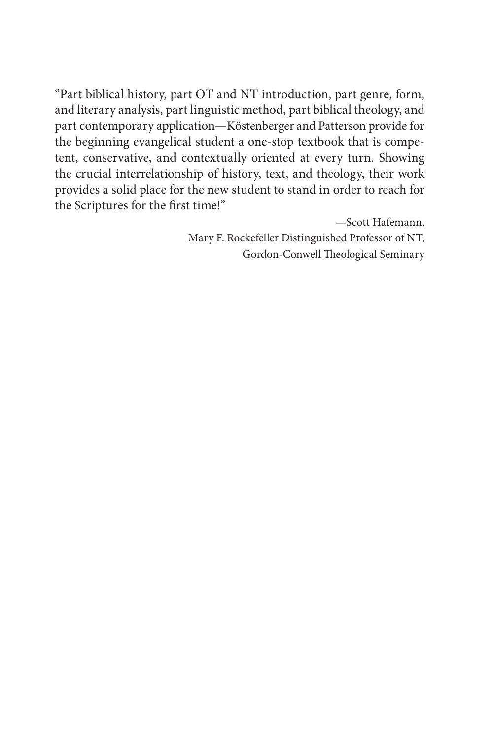"Part biblical history, part OT and NT introduction, part genre, form, and literary analysis, part linguistic method, part biblical theology, and part contemporary application—Köstenberger and Patterson provide for the beginning evangelical student a one-stop textbook that is competent, conservative, and contextually oriented at every turn. Showing the crucial interrelationship of history, text, and theology, their work provides a solid place for the new student to stand in order to reach for the Scriptures for the first time!"

> —Scott Hafemann, Mary F. Rockefeller Distinguished Professor of NT, Gordon-Conwell Theological Seminary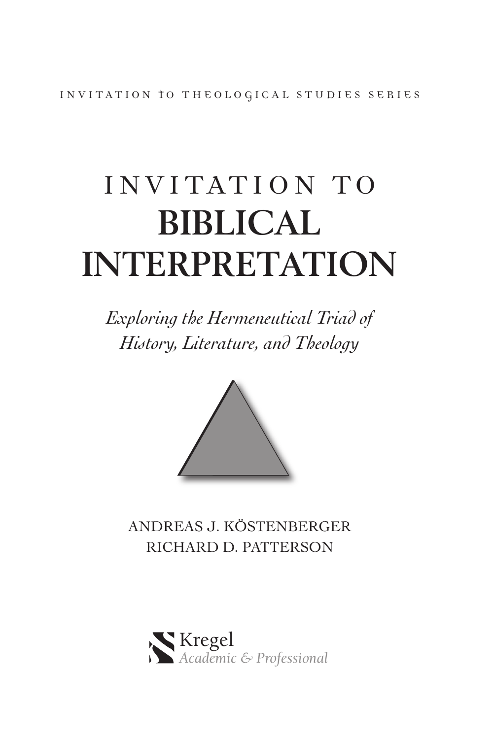INVITATION to THEOLOGICAL STUDIES SERIES

# INVITATION TO **BIBLICAL INTERPRETATION**

*Exploring the Hermeneutical Triad of History, Literature, and Theology*



ANDREAS J. KÖSTENBERGER RICHARD D. PATTERSON

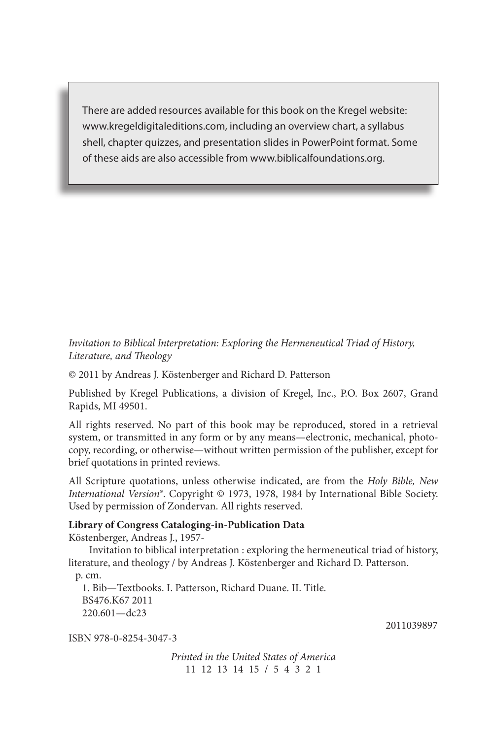There are added resources available for this book on the Kregel website: www.kregeldigitaleditions.com, including an overview chart, a syllabus shell, chapter quizzes, and presentation slides in PowerPoint format. Some of these aids are also accessible from www.biblicalfoundations.org.

Invitation to Biblical Interpretation: Exploring the Hermeneutical Triad of History, Literature, and Theology

© 2011 by Andreas J. Köstenberger and Richard D. Patterson

Published by Kregel Publications, a division of Kregel, Inc., P.O. Box 2607, Grand Rapids, MI 49501.

All rights reserved. No part of this book may be reproduced, stored in a retrieval system, or transmitted in any form or by any means—electronic, mechanical, photocopy, recording, or otherwise—without written permission of the publisher, except for brief quotations in printed reviews.

All Scripture quotations, unless otherwise indicated, are from the Holy Bible, New International Version®. Copyright © 1973, 1978, 1984 by International Bible Society. Used by permission of Zondervan. All rights reserved.

#### **Library of Congress Cataloging-in-Publication Data**

Köstenberger, Andreas J., 1957-

 Invitation to biblical interpretation : exploring the hermeneutical triad of history, literature, and theology / by Andreas J. Köstenberger and Richard D. Patterson.

p. cm. 1. Bib—Textbooks. I. Patterson, Richard Duane. II. Title. BS476.K67 2011 220.601—dc23

ISBN 978-0-8254-3047-3

Printed in the United States of America 11 12 13 14 15 / 5 4 3 2 1

2011039897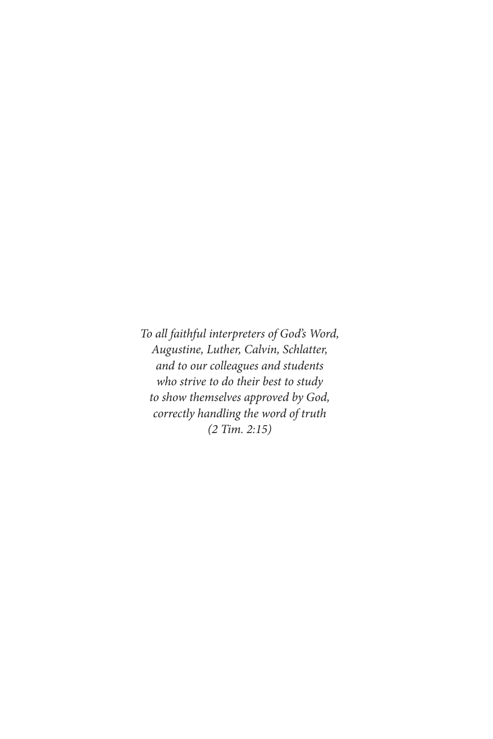To all faithful interpreters of God's Word, Augustine, Luther, Calvin, Schlatter, and to our colleagues and students who strive to do their best to study to show themselves approved by God, correctly handling the word of truth (2 Tim. 2:15)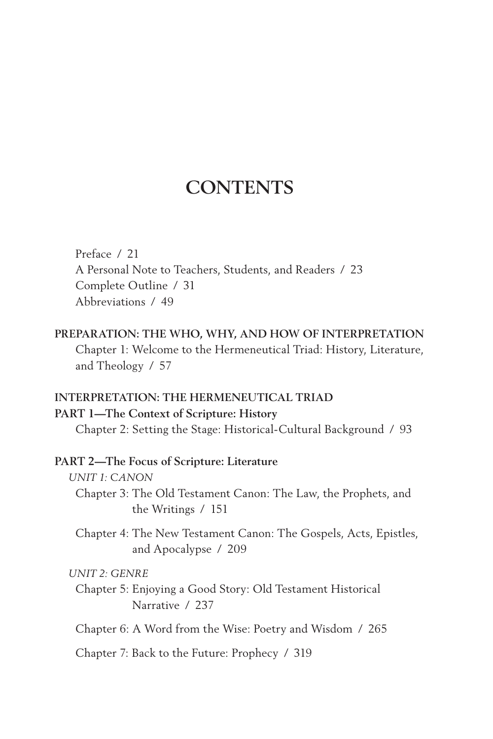### **CONTENTS**

Preface / 21 A Personal Note to Teachers, Students, and Readers / 23 Complete Outline / 31 Abbreviations / 49

**PREPARATION: THE WHO, WHY, AND HOW OF INTERPRETATION** Chapter 1: Welcome to the Hermeneutical Triad: History, Literature, and Theology / 57

#### **INTERPRETATION: THE HERMENEUTICAL TRIAD**

#### **PART 1—The Context of Scripture: History**

Chapter 2: Setting the Stage: Historical-Cultural Background / 93

#### **PART 2—The Focus of Scripture: Literature**

#### *UNIT 1: CANON*

Chapter 3: The Old Testament Canon: The Law, the Prophets, and the Writings / 151

Chapter 4: The New Testament Canon: The Gospels, Acts, Epistles, and Apocalypse / 209

#### *UNIT 2: GENRE*

Chapter 5: Enjoying a Good Story: Old Testament Historical Narrative / 237

Chapter 6: A Word from the Wise: Poetry and Wisdom / 265

Chapter 7: Back to the Future: Prophecy / 319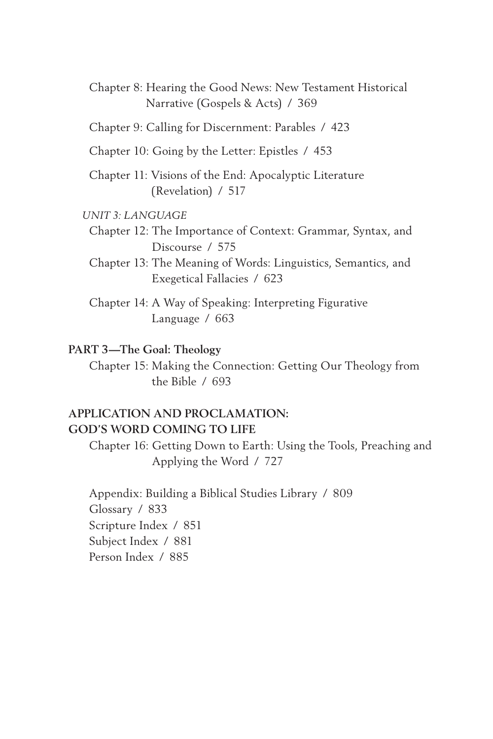Chapter 8: Hearing the Good News: New Testament Historical Narrative (Gospels & Acts) / 369

Chapter 9: Calling for Discernment: Parables / 423

Chapter 10: Going by the Letter: Epistles / 453

Chapter 11: Visions of the End: Apocalyptic Literature (Revelation) / 517

#### *UNIT 3: LANGUAGE*

Chapter 12: The Importance of Context: Grammar, Syntax, and Discourse / 575

Chapter 13: The Meaning of Words: Linguistics, Semantics, and Exegetical Fallacies / 623

Chapter 14: A Way of Speaking: Interpreting Figurative Language / 663

#### **PART 3—The Goal: Theology**

Chapter 15: Making the Connection: Getting Our Theology from the Bible / 693

#### **APPLICATION AND PROCLAMATION: GOD'S WORD COMING TO LIFE**

Chapter 16: Getting Down to Earth: Using the Tools, Preaching and Applying the Word / 727

Appendix: Building a Biblical Studies Library / 809 Glossary / 833 Scripture Index / 851 Subject Index / 881 Person Index / 885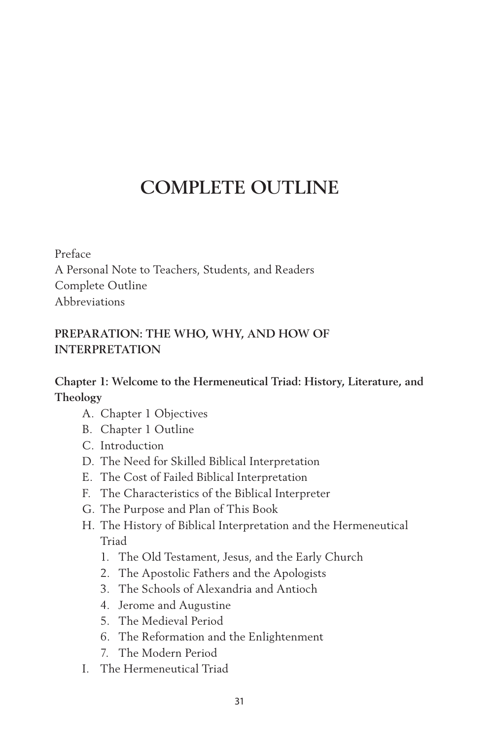## **COMPLETE OUTLINE**

Preface A Personal Note to Teachers, Students, and Readers Complete Outline Abbreviations

#### **PREPARATION: THE WHO, WHY, AND HOW OF INTERPRETATION**

#### **Chapter 1: Welcome to the Hermeneutical Triad: History, Literature, and Theology**

- A. Chapter 1 Objectives
- B. Chapter 1 Outline
- C. Introduction
- D. The Need for Skilled Biblical Interpretation
- E. The Cost of Failed Biblical Interpretation
- F. The Characteristics of the Biblical Interpreter
- G. The Purpose and Plan of This Book
- H. The History of Biblical Interpretation and the Hermeneutical Triad
	- 1. The Old Testament, Jesus, and the Early Church
	- 2. The Apostolic Fathers and the Apologists
	- 3. The Schools of Alexandria and Antioch
	- 4. Jerome and Augustine
	- 5. The Medieval Period
	- 6. The Reformation and the Enlightenment
	- 7. The Modern Period
- I. The Hermeneutical Triad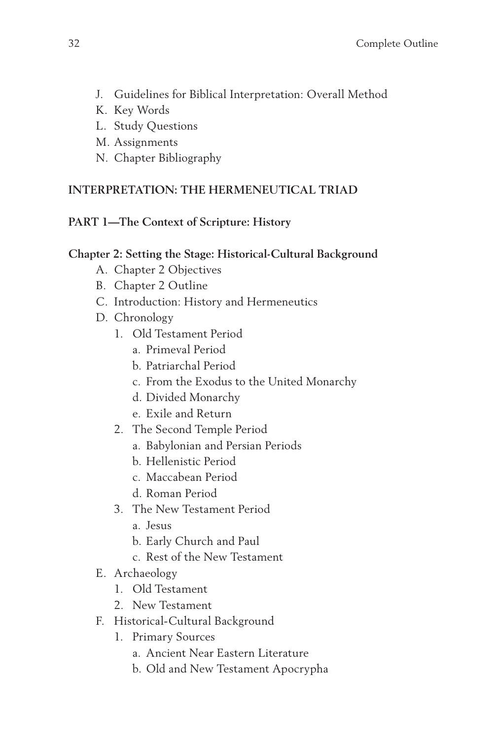- J. Guidelines for Biblical Interpretation: Overall Method
- K. Key Words
- L. Study Questions
- M. Assignments
- N. Chapter Bibliography

#### **INTERPRETATION: THE HERMENEUTICAL TRIAD**

#### **PART 1—The Context of Scripture: History**

#### **Chapter 2: Setting the Stage: Historical-Cultural Background**

- A. Chapter 2 Objectives
- B. Chapter 2 Outline
- C. Introduction: History and Hermeneutics
- D. Chronology
	- 1. Old Testament Period
		- a. Primeval Period
		- b. Patriarchal Period
		- c. From the Exodus to the United Monarchy
		- d. Divided Monarchy
		- e. Exile and Return
	- 2. The Second Temple Period
		- a. Babylonian and Persian Periods
		- b. Hellenistic Period
		- c. Maccabean Period
		- d. Roman Period
	- 3. The New Testament Period
		- a. Jesus
		- b. Early Church and Paul
		- c. Rest of the New Testament
- E. Archaeology
	- 1. Old Testament
	- 2. New Testament
- F. Historical-Cultural Background
	- 1. Primary Sources
		- a. Ancient Near Eastern Literature
		- b. Old and New Testament Apocrypha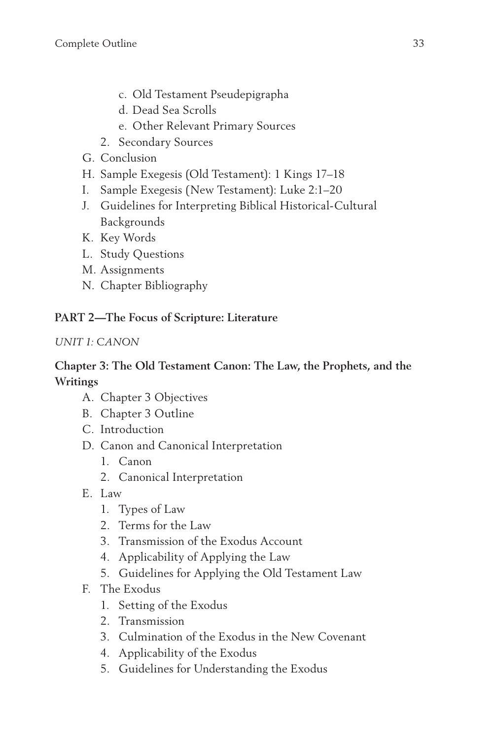- c. Old Testament Pseudepigrapha
- d. Dead Sea Scrolls
- e. Other Relevant Primary Sources
- 2. Secondary Sources
- G. Conclusion
- H. Sample Exegesis (Old Testament): 1 Kings 17–18
- I. Sample Exegesis (New Testament): Luke 2:1–20
- J. Guidelines for Interpreting Biblical Historical-Cultural Backgrounds
- K. Key Words
- L. Study Questions
- M. Assignments
- N. Chapter Bibliography

#### **PART 2—The Focus of Scripture: Literature**

#### *UNIT 1: CANON*

#### **Chapter 3: The Old Testament Canon: The Law, the Prophets, and the Writings**

- A. Chapter 3 Objectives
- B. Chapter 3 Outline
- C. Introduction
- D. Canon and Canonical Interpretation
	- 1. Canon
	- 2. Canonical Interpretation
- E. Law
	- 1. Types of Law
	- 2. Terms for the Law
	- 3. Transmission of the Exodus Account
	- 4. Applicability of Applying the Law
	- 5. Guidelines for Applying the Old Testament Law
- F. The Exodus
	- 1. Setting of the Exodus
	- 2. Transmission
	- 3. Culmination of the Exodus in the New Covenant
	- 4. Applicability of the Exodus
	- 5. Guidelines for Understanding the Exodus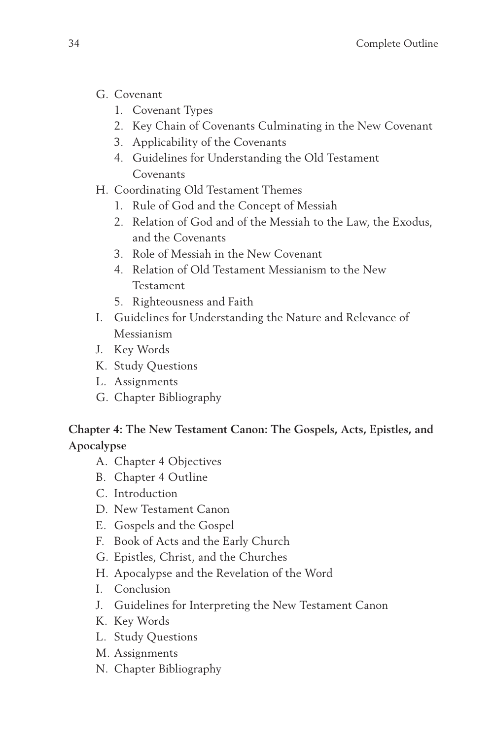- G. Covenant
	- 1. Covenant Types
	- 2. Key Chain of Covenants Culminating in the New Covenant
	- 3. Applicability of the Covenants
	- 4. Guidelines for Understanding the Old Testament Covenants
- H. Coordinating Old Testament Themes
	- 1. Rule of God and the Concept of Messiah
	- 2. Relation of God and of the Messiah to the Law, the Exodus, and the Covenants
	- 3. Role of Messiah in the New Covenant
	- 4. Relation of Old Testament Messianism to the New Testament
	- 5. Righteousness and Faith
- I. Guidelines for Understanding the Nature and Relevance of Messianism
- J. Key Words
- K. Study Questions
- L. Assignments
- G. Chapter Bibliography

**Chapter 4: The New Testament Canon: The Gospels, Acts, Epistles, and Apocalypse**

- A. Chapter 4 Objectives
- B. Chapter 4 Outline
- C. Introduction
- D. New Testament Canon
- E. Gospels and the Gospel
- F. Book of Acts and the Early Church
- G. Epistles, Christ, and the Churches
- H. Apocalypse and the Revelation of the Word
- I. Conclusion
- J. Guidelines for Interpreting the New Testament Canon
- K. Key Words
- L. Study Questions
- M. Assignments
- N. Chapter Bibliography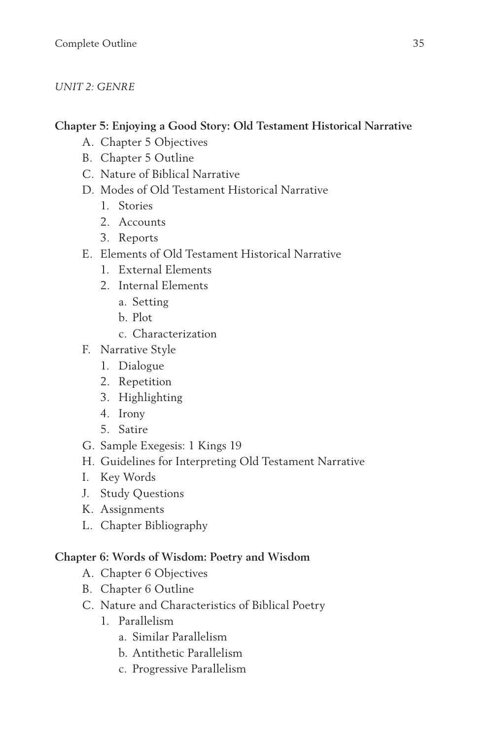#### *UNIT 2: GENRE*

#### **Chapter 5: Enjoying a Good Story: Old Testament Historical Narrative**

- A. Chapter 5 Objectives
- B. Chapter 5 Outline
- C. Nature of Biblical Narrative
- D. Modes of Old Testament Historical Narrative
	- 1. Stories
	- 2. Accounts
	- 3. Reports
- E. Elements of Old Testament Historical Narrative
	- 1. External Elements
	- 2. Internal Elements
		- a. Setting
		- b. Plot
		- c. Characterization
- F. Narrative Style
	- 1. Dialogue
	- 2. Repetition
	- 3. Highlighting
	- 4. Irony
	- 5. Satire
- G. Sample Exegesis: 1 Kings 19
- H. Guidelines for Interpreting Old Testament Narrative
- I. Key Words
- J. Study Questions
- K. Assignments
- L. Chapter Bibliography

#### **Chapter 6: Words of Wisdom: Poetry and Wisdom**

- A. Chapter 6 Objectives
- B. Chapter 6 Outline
- C. Nature and Characteristics of Biblical Poetry
	- 1. Parallelism
		- a. Similar Parallelism
		- b. Antithetic Parallelism
		- c. Progressive Parallelism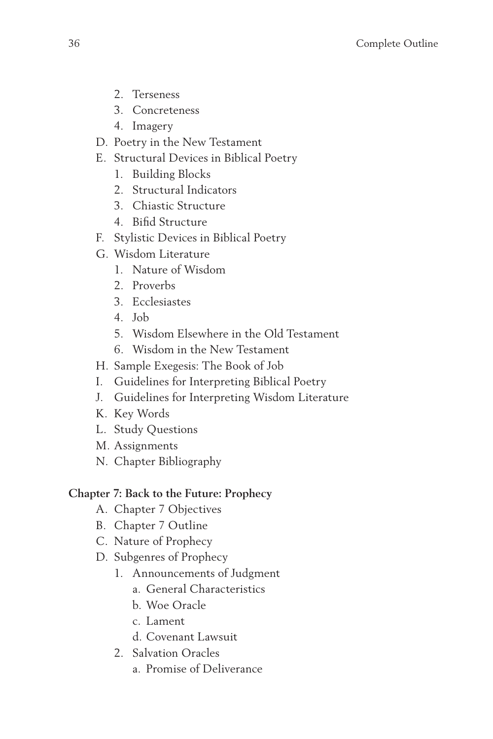- 2. Terseness
- 3. Concreteness
- 4. Imagery
- D. Poetry in the New Testament
- E. Structural Devices in Biblical Poetry
	- 1. Building Blocks
	- 2. Structural Indicators
	- 3. Chiastic Structure
	- 4. Bifid Structure
- F. Stylistic Devices in Biblical Poetry
- G. Wisdom Literature
	- 1. Nature of Wisdom
	- 2. Proverbs
	- 3. Ecclesiastes
	- 4. Job
	- 5. Wisdom Elsewhere in the Old Testament
	- 6. Wisdom in the New Testament
- H. Sample Exegesis: The Book of Job
- I. Guidelines for Interpreting Biblical Poetry
- J. Guidelines for Interpreting Wisdom Literature
- K. Key Words
- L. Study Questions
- M. Assignments
- N. Chapter Bibliography

#### **Chapter 7: Back to the Future: Prophecy**

- A. Chapter 7 Objectives
- B. Chapter 7 Outline
- C. Nature of Prophecy
- D. Subgenres of Prophecy
	- 1. Announcements of Judgment
		- a. General Characteristics
		- b. Woe Oracle
		- c. Lament
		- d. Covenant Lawsuit
	- 2. Salvation Oracles
		- a. Promise of Deliverance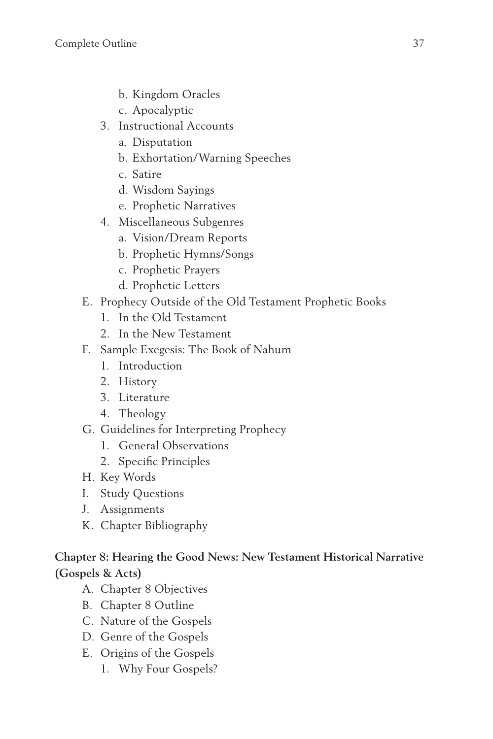- b. Kingdom Oracles
- c. Apocalyptic
- 3. Instructional Accounts
	- a. Disputation
	- b. Exhortation/Warning Speeches
	- c. Satire
	- d. Wisdom Sayings
	- e. Prophetic Narratives
- 4. Miscellaneous Subgenres
	- a. Vision/Dream Reports
	- b. Prophetic Hymns/Songs
	- c. Prophetic Prayers
	- d. Prophetic Letters
- E. Prophecy Outside of the Old Testament Prophetic Books
	- 1. In the Old Testament
	- 2. In the New Testament
- F. Sample Exegesis: The Book of Nahum
	- 1. Introduction
	- 2. History
	- 3. Literature
	- 4. Theology
- G. Guidelines for Interpreting Prophecy
	- 1. General Observations
	- 2. Specific Principles
- H. Key Words
- I. Study Questions
- J. Assignments
- K. Chapter Bibliography

#### **Chapter 8: Hearing the Good News: New Testament Historical Narrative (Gospels & Acts)**

- A. Chapter 8 Objectives
- B. Chapter 8 Outline
- C. Nature of the Gospels
- D. Genre of the Gospels
- E. Origins of the Gospels
	- 1. Why Four Gospels?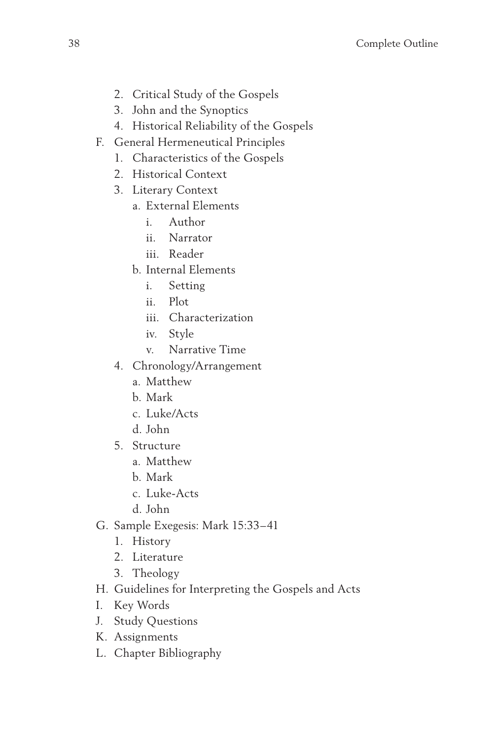- 2. Critical Study of the Gospels
- 3. John and the Synoptics
- 4. Historical Reliability of the Gospels
- F. General Hermeneutical Principles
	- 1. Characteristics of the Gospels
	- 2. Historical Context
	- 3. Literary Context
		- a. External Elements
			- i. Author
			- ii. Narrator
			- iii. Reader
		- b. Internal Elements
			- i. Setting
			- ii. Plot
			- iii. Characterization
			- iv. Style
			- v. Narrative Time
	- 4. Chronology/Arrangement
		- a. Matthew
		- b. Mark
		- c. Luke/Acts
		- d. John
	- 5. Structure
		- a. Matthew
		- b. Mark
		- c. Luke-Acts
		- d. John
- G. Sample Exegesis: Mark 15:33–41
	- 1. History
	- 2. Literature
	- 3. Theology
- H. Guidelines for Interpreting the Gospels and Acts
- I. Key Words
- J. Study Questions
- K. Assignments
- L. Chapter Bibliography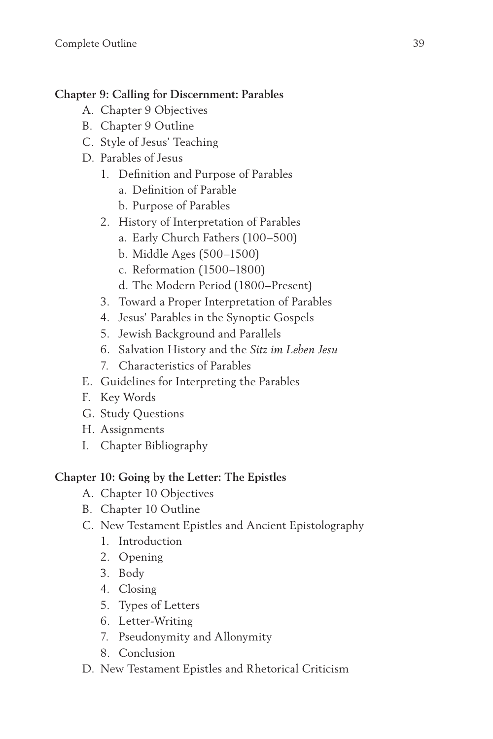#### **Chapter 9: Calling for Discernment: Parables**

- A. Chapter 9 Objectives
- B. Chapter 9 Outline
- C. Style of Jesus' Teaching
- D. Parables of Jesus
	- 1. Definition and Purpose of Parables
		- a. Definition of Parable
		- b. Purpose of Parables
	- 2. History of Interpretation of Parables
		- a. Early Church Fathers (100–500)
		- b. Middle Ages (500–1500)
		- c. Reformation (1500–1800)
		- d. The Modern Period (1800–Present)
	- 3. Toward a Proper Interpretation of Parables
	- 4. Jesus' Parables in the Synoptic Gospels
	- 5. Jewish Background and Parallels
	- 6. Salvation History and the *Sitz im Leben Jesu*
	- 7. Characteristics of Parables
- E. Guidelines for Interpreting the Parables
- F. Key Words
- G. Study Questions
- H. Assignments
- I. Chapter Bibliography

#### **Chapter 10: Going by the Letter: The Epistles**

- A. Chapter 10 Objectives
- B. Chapter 10 Outline
- C. New Testament Epistles and Ancient Epistolography
	- 1. Introduction
	- 2. Opening
	- 3. Body
	- 4. Closing
	- 5. Types of Letters
	- 6. Letter-Writing
	- 7. Pseudonymity and Allonymity
	- 8. Conclusion
- D. New Testament Epistles and Rhetorical Criticism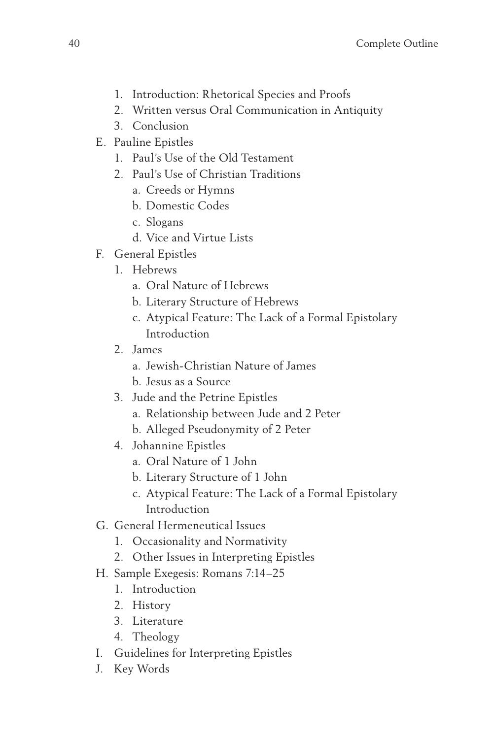- 1. Introduction: Rhetorical Species and Proofs
- 2. Written versus Oral Communication in Antiquity
- 3. Conclusion
- E. Pauline Epistles
	- 1. Paul's Use of the Old Testament
	- 2. Paul's Use of Christian Traditions
		- a. Creeds or Hymns
		- b. Domestic Codes
		- c. Slogans
		- d. Vice and Virtue Lists
- F. General Epistles
	- 1. Hebrews
		- a. Oral Nature of Hebrews
		- b. Literary Structure of Hebrews
		- c. Atypical Feature: The Lack of a Formal Epistolary Introduction
	- 2. James
		- a. Jewish-Christian Nature of James
		- b. Jesus as a Source
	- 3. Jude and the Petrine Epistles
		- a. Relationship between Jude and 2 Peter
		- b. Alleged Pseudonymity of 2 Peter
	- 4. Johannine Epistles
		- a. Oral Nature of 1 John
		- b. Literary Structure of 1 John
		- c. Atypical Feature: The Lack of a Formal Epistolary Introduction
- G. General Hermeneutical Issues
	- 1. Occasionality and Normativity
	- 2. Other Issues in Interpreting Epistles
- H. Sample Exegesis: Romans 7:14–25
	- 1. Introduction
	- 2. History
	- 3. Literature
	- 4. Theology
- I. Guidelines for Interpreting Epistles
- J. Key Words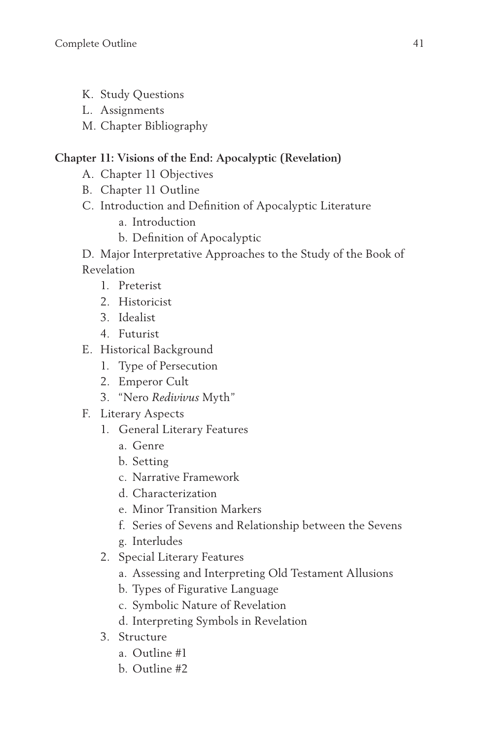- K. Study Questions
- L. Assignments
- M. Chapter Bibliography

#### **Chapter 11: Visions of the End: Apocalyptic (Revelation)**

- A. Chapter 11 Objectives
- B. Chapter 11 Outline
- C. Introduction and Definition of Apocalyptic Literature
	- a. Introduction
	- b. Definition of Apocalyptic
- D. Major Interpretative Approaches to the Study of the Book of Revelation
	- 1. Preterist
	- 2. Historicist
	- 3. Idealist
	- 4. Futurist
- E. Historical Background
	- 1. Type of Persecution
	- 2. Emperor Cult
	- 3. "Nero *Redivivus* Myth"
- F. Literary Aspects
	- 1. General Literary Features
		- a. Genre
		- b. Setting
		- c. Narrative Framework
		- d. Characterization
		- e. Minor Transition Markers
		- f. Series of Sevens and Relationship between the Sevens
		- g. Interludes
	- 2. Special Literary Features
		- a. Assessing and Interpreting Old Testament Allusions
		- b. Types of Figurative Language
		- c. Symbolic Nature of Revelation
		- d. Interpreting Symbols in Revelation
	- 3. Structure
		- a. Outline #1
		- b. Outline #2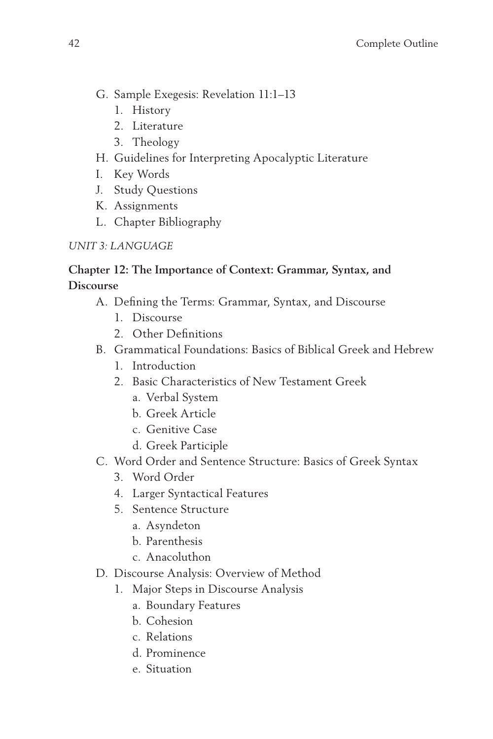- G. Sample Exegesis: Revelation 11:1–13
	- 1. History
	- 2. Literature
	- 3. Theology
- H. Guidelines for Interpreting Apocalyptic Literature
- I. Key Words
- J. Study Questions
- K. Assignments
- L. Chapter Bibliography

#### *UNIT 3: LANGUAGE*

#### **Chapter 12: The Importance of Context: Grammar, Syntax, and Discourse**

- A. Defining the Terms: Grammar, Syntax, and Discourse
	- 1. Discourse
	- 2. Other Definitions
- B. Grammatical Foundations: Basics of Biblical Greek and Hebrew
	- 1. Introduction
	- 2. Basic Characteristics of New Testament Greek
		- a. Verbal System
		- b. Greek Article
		- c. Genitive Case
		- d. Greek Participle
- C. Word Order and Sentence Structure: Basics of Greek Syntax
	- 3. Word Order
	- 4. Larger Syntactical Features
	- 5. Sentence Structure
		- a. Asyndeton
		- b. Parenthesis
		- c. Anacoluthon
- D. Discourse Analysis: Overview of Method
	- 1. Major Steps in Discourse Analysis
		- a. Boundary Features
		- b. Cohesion
		- c. Relations
		- d. Prominence
		- e. Situation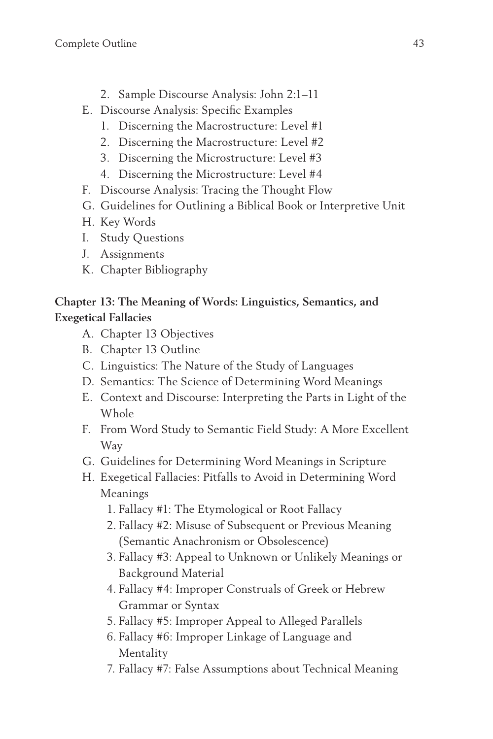- 2. Sample Discourse Analysis: John 2:1–11
- E. Discourse Analysis: Specific Examples
	- 1. Discerning the Macrostructure: Level #1
	- 2. Discerning the Macrostructure: Level #2
	- 3. Discerning the Microstructure: Level #3
	- 4. Discerning the Microstructure: Level #4
- F. Discourse Analysis: Tracing the Thought Flow
- G. Guidelines for Outlining a Biblical Book or Interpretive Unit
- H. Key Words
- I. Study Questions
- J. Assignments
- K. Chapter Bibliography

#### **Chapter 13: The Meaning of Words: Linguistics, Semantics, and Exegetical Fallacies**

- A. Chapter 13 Objectives
- B. Chapter 13 Outline
- C. Linguistics: The Nature of the Study of Languages
- D. Semantics: The Science of Determining Word Meanings
- E. Context and Discourse: Interpreting the Parts in Light of the Whole
- F. From Word Study to Semantic Field Study: A More Excellent Way
- G. Guidelines for Determining Word Meanings in Scripture
- H. Exegetical Fallacies: Pitfalls to Avoid in Determining Word Meanings
	- 1. Fallacy #1: The Etymological or Root Fallacy
	- 2. Fallacy #2: Misuse of Subsequent or Previous Meaning (Semantic Anachronism or Obsolescence)
	- 3. Fallacy #3: Appeal to Unknown or Unlikely Meanings or Background Material
	- 4. Fallacy #4: Improper Construals of Greek or Hebrew Grammar or Syntax
	- 5. Fallacy #5: Improper Appeal to Alleged Parallels
	- 6. Fallacy #6: Improper Linkage of Language and Mentality
	- 7. Fallacy #7: False Assumptions about Technical Meaning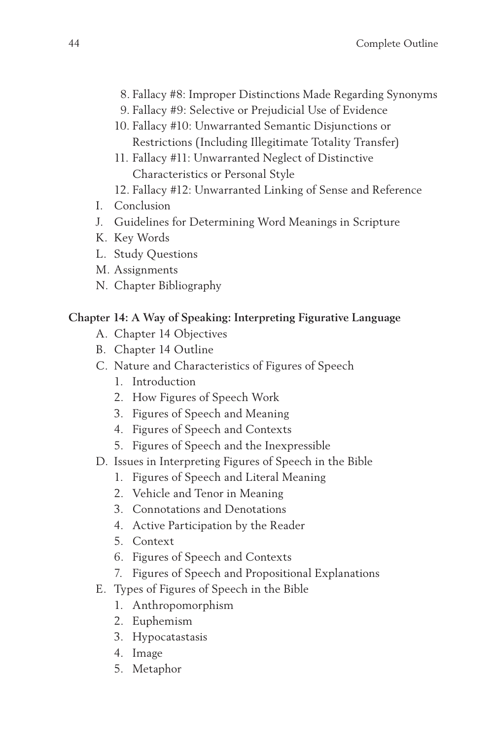- 8. Fallacy #8: Improper Distinctions Made Regarding Synonyms
- 9. Fallacy #9: Selective or Prejudicial Use of Evidence
- 10. Fallacy #10: Unwarranted Semantic Disjunctions or Restrictions (Including Illegitimate Totality Transfer)
- 11. Fallacy #11: Unwarranted Neglect of Distinctive Characteristics or Personal Style
- 12. Fallacy #12: Unwarranted Linking of Sense and Reference
- I. Conclusion
- J. Guidelines for Determining Word Meanings in Scripture
- K. Key Words
- L. Study Questions
- M. Assignments
- N. Chapter Bibliography

#### **Chapter 14: A Way of Speaking: Interpreting Figurative Language**

- A. Chapter 14 Objectives
- B. Chapter 14 Outline
- C. Nature and Characteristics of Figures of Speech
	- 1. Introduction
	- 2. How Figures of Speech Work
	- 3. Figures of Speech and Meaning
	- 4. Figures of Speech and Contexts
	- 5. Figures of Speech and the Inexpressible
- D. Issues in Interpreting Figures of Speech in the Bible
	- 1. Figures of Speech and Literal Meaning
	- 2. Vehicle and Tenor in Meaning
	- 3. Connotations and Denotations
	- 4. Active Participation by the Reader
	- 5. Context
	- 6. Figures of Speech and Contexts
	- 7. Figures of Speech and Propositional Explanations
- E. Types of Figures of Speech in the Bible
	- 1. Anthropomorphism
	- 2. Euphemism
	- 3. Hypocatastasis
	- 4. Image
	- 5. Metaphor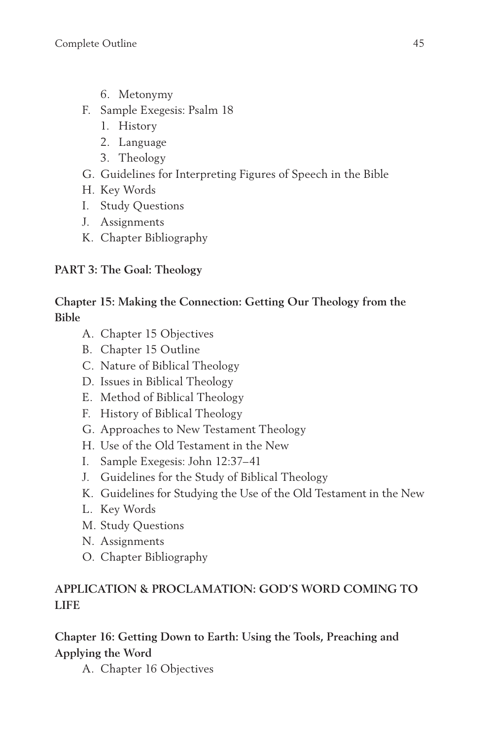- 6. Metonymy
- F. Sample Exegesis: Psalm 18
	- 1. History
	- 2. Language
	- 3. Theology
- G. Guidelines for Interpreting Figures of Speech in the Bible
- H. Key Words
- I. Study Questions
- J. Assignments
- K. Chapter Bibliography

#### **PART 3: The Goal: Theology**

#### **Chapter 15: Making the Connection: Getting Our Theology from the Bible**

- A. Chapter 15 Objectives
- B. Chapter 15 Outline
- C. Nature of Biblical Theology
- D. Issues in Biblical Theology
- E. Method of Biblical Theology
- F. History of Biblical Theology
- G. Approaches to New Testament Theology
- H. Use of the Old Testament in the New
- I. Sample Exegesis: John 12:37–41
- J. Guidelines for the Study of Biblical Theology
- K. Guidelines for Studying the Use of the Old Testament in the New
- L. Key Words
- M. Study Questions
- N. Assignments
- O. Chapter Bibliography

#### **APPLICATION & PROCLAMATION: GOD'S WORD COMING TO LIFE**

#### **Chapter 16: Getting Down to Earth: Using the Tools, Preaching and Applying the Word**

A. Chapter 16 Objectives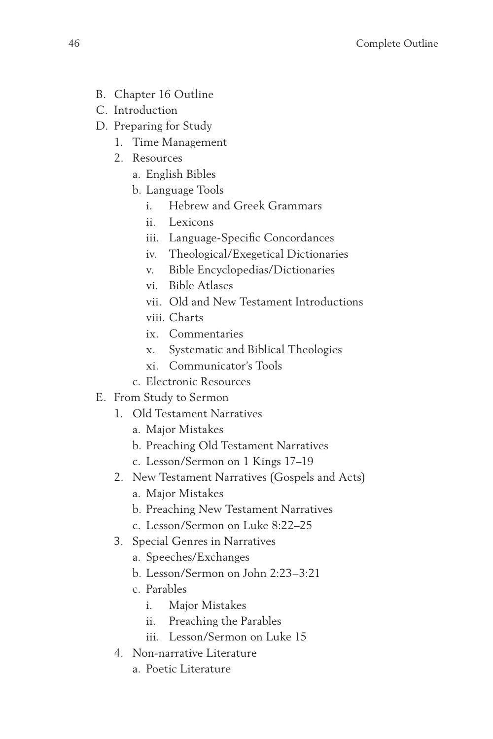- B. Chapter 16 Outline
- C. Introduction
- D. Preparing for Study
	- 1. Time Management
	- 2. Resources
		- a. English Bibles
		- b. Language Tools
			- i. Hebrew and Greek Grammars
			- ii. Lexicons
			- iii. Language-Specific Concordances
			- iv. Theological/Exegetical Dictionaries
			- v. Bible Encyclopedias/Dictionaries
			- vi. Bible Atlases
			- vii. Old and New Testament Introductions
			- viii. Charts
			- ix. Commentaries
			- x. Systematic and Biblical Theologies
			- xi. Communicator's Tools
		- c. Electronic Resources
- E. From Study to Sermon
	- 1. Old Testament Narratives
		- a. Major Mistakes
		- b. Preaching Old Testament Narratives
		- c. Lesson/Sermon on 1 Kings 17–19
	- 2. New Testament Narratives (Gospels and Acts)
		- a. Major Mistakes
		- b. Preaching New Testament Narratives
		- c. Lesson/Sermon on Luke 8:22–25
	- 3. Special Genres in Narratives
		- a. Speeches/Exchanges
		- b. Lesson/Sermon on John 2:23–3:21
		- c. Parables
			- i. Major Mistakes
			- ii. Preaching the Parables
			- iii. Lesson/Sermon on Luke 15
	- 4. Non-narrative Literature
		- a. Poetic Literature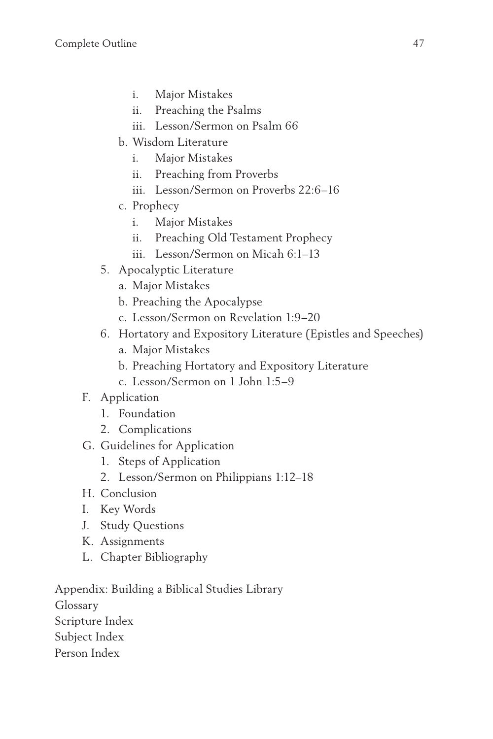- i. Major Mistakes
- ii. Preaching the Psalms
- iii. Lesson/Sermon on Psalm 66
- b. Wisdom Literature
	- i. Major Mistakes
	- ii. Preaching from Proverbs
	- iii. Lesson/Sermon on Proverbs 22:6–16
- c. Prophecy
	- i. Major Mistakes
	- ii. Preaching Old Testament Prophecy
	- iii. Lesson/Sermon on Micah 6:1–13
- 5. Apocalyptic Literature
	- a. Major Mistakes
	- b. Preaching the Apocalypse
	- c. Lesson/Sermon on Revelation 1:9–20
- 6. Hortatory and Expository Literature (Epistles and Speeches)
	- a. Major Mistakes
	- b. Preaching Hortatory and Expository Literature
	- c. Lesson/Sermon on 1 John 1:5–9
- F. Application
	- 1. Foundation
	- 2. Complications
- G. Guidelines for Application
	- 1. Steps of Application
	- 2. Lesson/Sermon on Philippians 1:12–18
- H. Conclusion
- I. Key Words
- J. Study Questions
- K. Assignments
- L. Chapter Bibliography

Appendix: Building a Biblical Studies Library Glossary Scripture Index Subject Index Person Index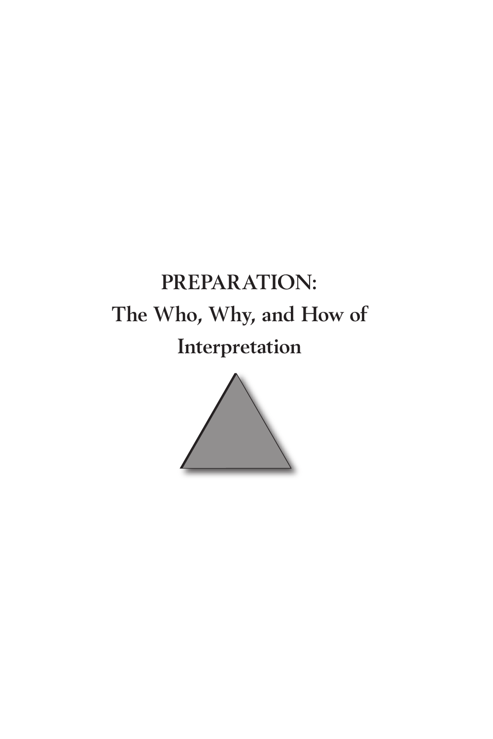# **PREPARATION: The Who, Why, and How of Interpretation**

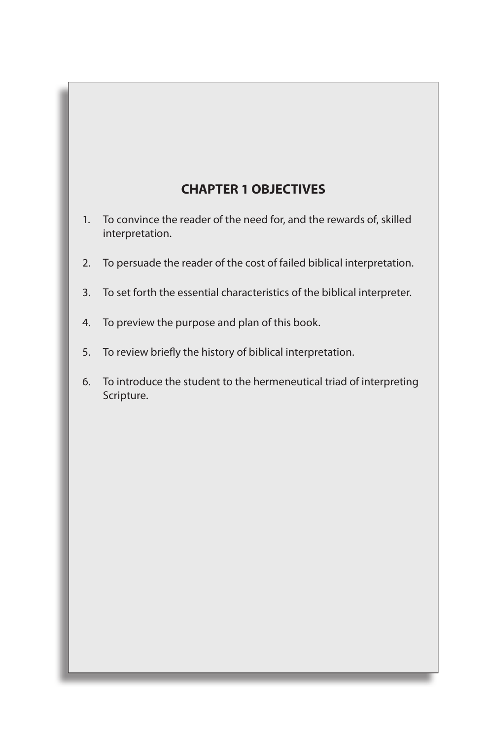## **CHAPTER 1 OBJECTIVES**

- 1. To convince the reader of the need for, and the rewards of, skilled interpretation.
- 2. To persuade the reader of the cost of failed biblical interpretation.
- 3. To set forth the essential characteristics of the biblical interpreter.
- 4. To preview the purpose and plan of this book.
- 5. To review briefly the history of biblical interpretation.
- 6. To introduce the student to the hermeneutical triad of interpreting Scripture.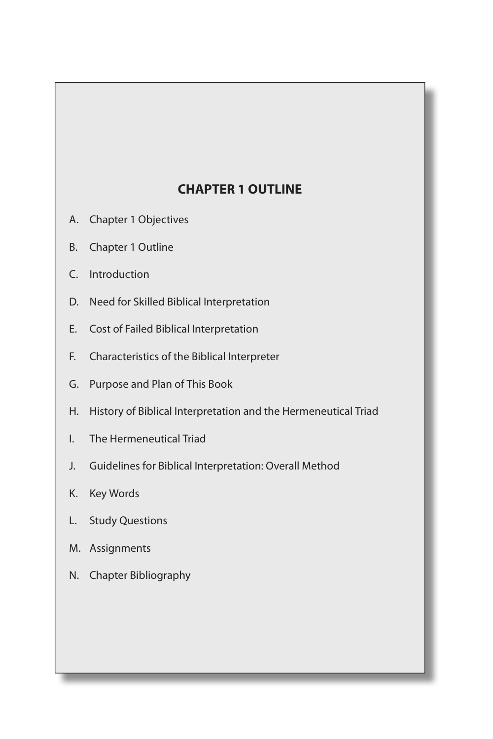## **CHAPTER 1 OUTLINE**

- A. Chapter 1 Objectives
- B. Chapter 1 Outline
- C. Introduction
- D. Need for Skilled Biblical Interpretation
- E. Cost of Failed Biblical Interpretation
- F. Characteristics of the Biblical Interpreter
- G. Purpose and Plan of This Book
- H. History of Biblical Interpretation and the Hermeneutical Triad
- I. The Hermeneutical Triad
- J. Guidelines for Biblical Interpretation: Overall Method
- K. Key Words
- L. Study Questions
- M. Assignments
- N. Chapter Bibliography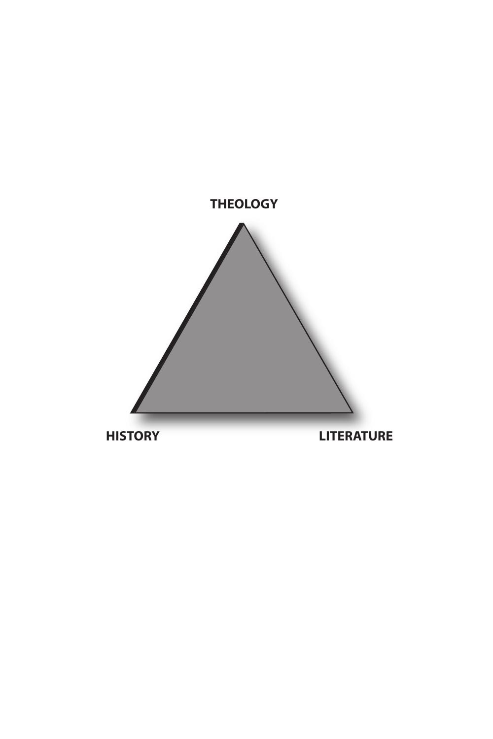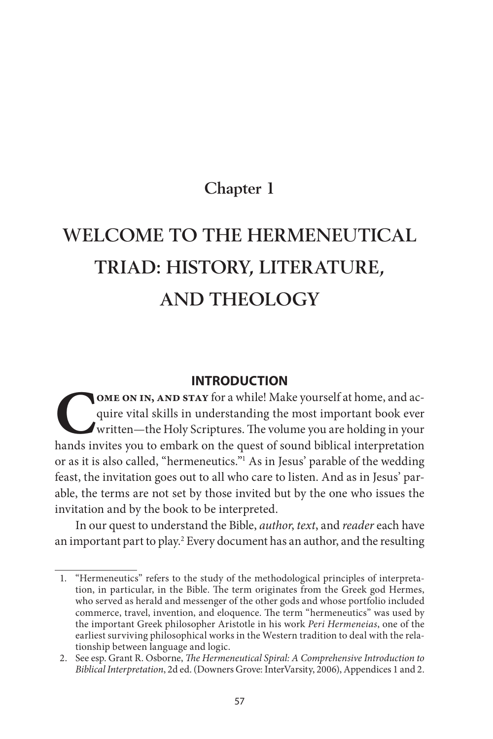## **Chapter 1**

## **WELCOME TO THE HERMENEUTICAL TRIAD: HISTORY, LITERATURE, AND THEOLOGY**

#### **INTRODUCTION**

**COME ON IN, AND STAY** for a while! Make yourself at home, and acquire vital skills in understanding the most important book ever written—the Holy Scriptures. The volume you are holding in your hands invites you to embark quire vital skills in understanding the most important book ever written—the Holy Scriptures. The volume you are holding in your hands invites you to embark on the quest of sound biblical interpretation or as it is also called, "hermeneutics."1 As in Jesus' parable of the wedding feast, the invitation goes out to all who care to listen. And as in Jesus' parable, the terms are not set by those invited but by the one who issues the invitation and by the book to be interpreted.

In our quest to understand the Bible, author, text, and reader each have an important part to play.<sup>2</sup> Every document has an author, and the resulting

<sup>1.</sup> "Hermeneutics" refers to the study of the methodological principles of interpretation, in particular, in the Bible. The term originates from the Greek god Hermes, who served as herald and messenger of the other gods and whose portfolio included commerce, travel, invention, and eloquence. The term "hermeneutics" was used by the important Greek philosopher Aristotle in his work Peri Hermeneias, one of the earliest surviving philosophical works in the Western tradition to deal with the relationship between language and logic.

<sup>2.</sup> See esp. Grant R. Osborne, The Hermeneutical Spiral: A Comprehensive Introduction to Biblical Interpretation, 2d ed. (Downers Grove: InterVarsity, 2006), Appendices 1 and 2.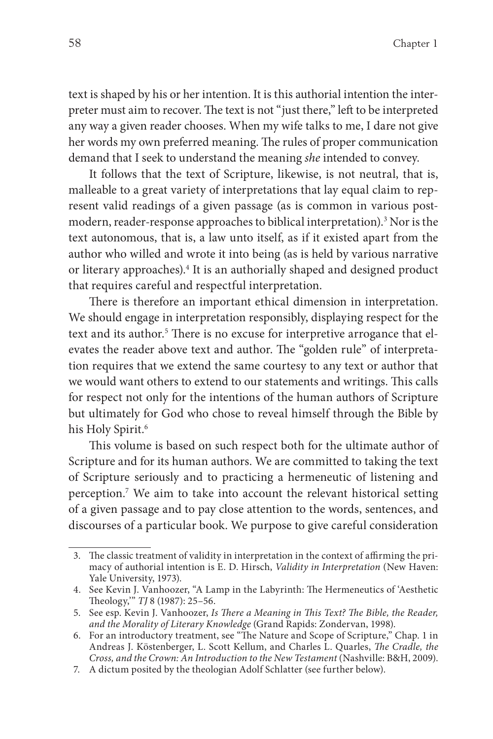text is shaped by his or her intention. It is this authorial intention the interpreter must aim to recover. The text is not "just there," left to be interpreted any way a given reader chooses. When my wife talks to me, I dare not give her words my own preferred meaning. The rules of proper communication demand that I seek to understand the meaning she intended to convey.

It follows that the text of Scripture, likewise, is not neutral, that is, malleable to a great variety of interpretations that lay equal claim to represent valid readings of a given passage (as is common in various postmodern, reader-response approaches to biblical interpretation).<sup>3</sup> Nor is the text autonomous, that is, a law unto itself, as if it existed apart from the author who willed and wrote it into being (as is held by various narrative or literary approaches).<sup>4</sup> It is an authorially shaped and designed product that requires careful and respectful interpretation.

There is therefore an important ethical dimension in interpretation. We should engage in interpretation responsibly, displaying respect for the text and its author.<sup>5</sup> There is no excuse for interpretive arrogance that elevates the reader above text and author. The "golden rule" of interpretation requires that we extend the same courtesy to any text or author that we would want others to extend to our statements and writings. This calls for respect not only for the intentions of the human authors of Scripture but ultimately for God who chose to reveal himself through the Bible by his Holy Spirit.<sup>6</sup>

This volume is based on such respect both for the ultimate author of Scripture and for its human authors. We are committed to taking the text of Scripture seriously and to practicing a hermeneutic of listening and perception.7 We aim to take into account the relevant historical setting of a given passage and to pay close attention to the words, sentences, and discourses of a particular book. We purpose to give careful consideration

<sup>3.</sup> The classic treatment of validity in interpretation in the context of affirming the primacy of authorial intention is E. D. Hirsch, Validity in Interpretation (New Haven: Yale University, 1973).

<sup>4.</sup> See Kevin J. Vanhoozer, "A Lamp in the Labyrinth: The Hermeneutics of 'Aesthetic Theology," TJ 8 (1987): 25-56.

<sup>5.</sup> See esp. Kevin J. Vanhoozer, Is There a Meaning in This Text? The Bible, the Reader, and the Morality of Literary Knowledge (Grand Rapids: Zondervan, 1998).

<sup>6.</sup> For an introductory treatment, see "The Nature and Scope of Scripture," Chap. 1 in Andreas J. Köstenberger, L. Scott Kellum, and Charles L. Quarles, The Cradle, the Cross, and the Crown: An Introduction to the New Testament (Nashville: B&H, 2009).

<sup>7.</sup> A dictum posited by the theologian Adolf Schlatter (see further below).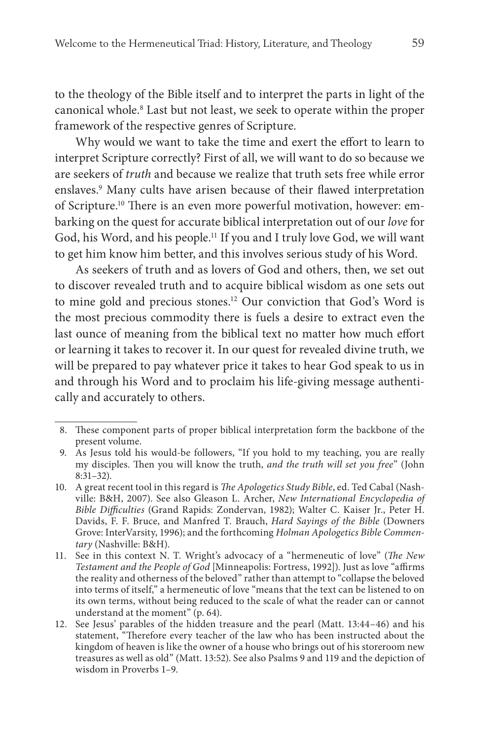to the theology of the Bible itself and to interpret the parts in light of the canonical whole.<sup>8</sup> Last but not least, we seek to operate within the proper framework of the respective genres of Scripture.

Why would we want to take the time and exert the effort to learn to interpret Scripture correctly? First of all, we will want to do so because we are seekers of truth and because we realize that truth sets free while error enslaves.<sup>9</sup> Many cults have arisen because of their flawed interpretation of Scripture.<sup>10</sup> There is an even more powerful motivation, however: embarking on the quest for accurate biblical interpretation out of our love for God, his Word, and his people.11 If you and I truly love God, we will want to get him know him better, and this involves serious study of his Word.

As seekers of truth and as lovers of God and others, then, we set out to discover revealed truth and to acquire biblical wisdom as one sets out to mine gold and precious stones.12 Our conviction that God's Word is the most precious commodity there is fuels a desire to extract even the last ounce of meaning from the biblical text no matter how much effort or learning it takes to recover it. In our quest for revealed divine truth, we will be prepared to pay whatever price it takes to hear God speak to us in and through his Word and to proclaim his life-giving message authentically and accurately to others.

<sup>8.</sup> These component parts of proper biblical interpretation form the backbone of the present volume.

<sup>9.</sup> As Jesus told his would-be followers, "If you hold to my teaching, you are really my disciples. Then you will know the truth, and the truth will set you free" (John 8:31–32).

<sup>10.</sup> A great recent tool in this regard is *The Apologetics Study Bible*, ed. Ted Cabal (Nashville: B&H, 2007). See also Gleason L. Archer, New International Encyclopedia of Bible Difficulties (Grand Rapids: Zondervan, 1982); Walter C. Kaiser Jr., Peter H. Davids, F. F. Bruce, and Manfred T. Brauch, Hard Sayings of the Bible (Downers Grove: InterVarsity, 1996); and the forthcoming Holman Apologetics Bible Commentary (Nashville: B&H).

<sup>11.</sup> See in this context N. T. Wright's advocacy of a "hermeneutic of love" (The New Testament and the People of God [Minneapolis: Fortress, 1992]). Just as love "affirms the reality and otherness of the beloved" rather than attempt to "collapse the beloved into terms of itself," a hermeneutic of love "means that the text can be listened to on its own terms, without being reduced to the scale of what the reader can or cannot understand at the moment" (p. 64).

<sup>12.</sup> See Jesus' parables of the hidden treasure and the pearl (Matt. 13:44–46) and his statement, "Therefore every teacher of the law who has been instructed about the kingdom of heaven is like the owner of a house who brings out of his storeroom new treasures as well as old" (Matt. 13:52). See also Psalms 9 and 119 and the depiction of wisdom in Proverbs 1–9.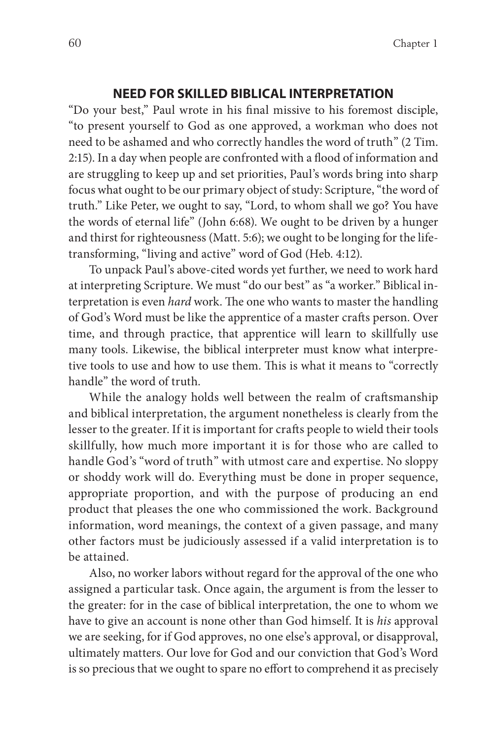#### **NEED FOR SKILLED BIBLICAL INTERPRETATION**

"Do your best," Paul wrote in his final missive to his foremost disciple, "to present yourself to God as one approved, a workman who does not need to be ashamed and who correctly handles the word of truth" (2 Tim. 2:15). In a day when people are confronted with a flood of information and are struggling to keep up and set priorities, Paul's words bring into sharp focus what ought to be our primary object of study: Scripture, "the word of truth." Like Peter, we ought to say, "Lord, to whom shall we go? You have the words of eternal life" (John 6:68). We ought to be driven by a hunger and thirst for righteousness (Matt. 5:6); we ought to be longing for the lifetransforming, "living and active" word of God (Heb. 4:12).

To unpack Paul's above-cited words yet further, we need to work hard at interpreting Scripture. We must "do our best" as "a worker." Biblical interpretation is even *hard* work. The one who wants to master the handling of God's Word must be like the apprentice of a master crafts person. Over time, and through practice, that apprentice will learn to skillfully use many tools. Likewise, the biblical interpreter must know what interpretive tools to use and how to use them. This is what it means to "correctly handle" the word of truth.

While the analogy holds well between the realm of craftsmanship and biblical interpretation, the argument nonetheless is clearly from the lesser to the greater. If it is important for crafts people to wield their tools skillfully, how much more important it is for those who are called to handle God's "word of truth" with utmost care and expertise. No sloppy or shoddy work will do. Everything must be done in proper sequence, appropriate proportion, and with the purpose of producing an end product that pleases the one who commissioned the work. Background information, word meanings, the context of a given passage, and many other factors must be judiciously assessed if a valid interpretation is to be attained.

Also, no worker labors without regard for the approval of the one who assigned a particular task. Once again, the argument is from the lesser to the greater: for in the case of biblical interpretation, the one to whom we have to give an account is none other than God himself. It is *his* approval we are seeking, for if God approves, no one else's approval, or disapproval, ultimately matters. Our love for God and our conviction that God's Word is so precious that we ought to spare no effort to comprehend it as precisely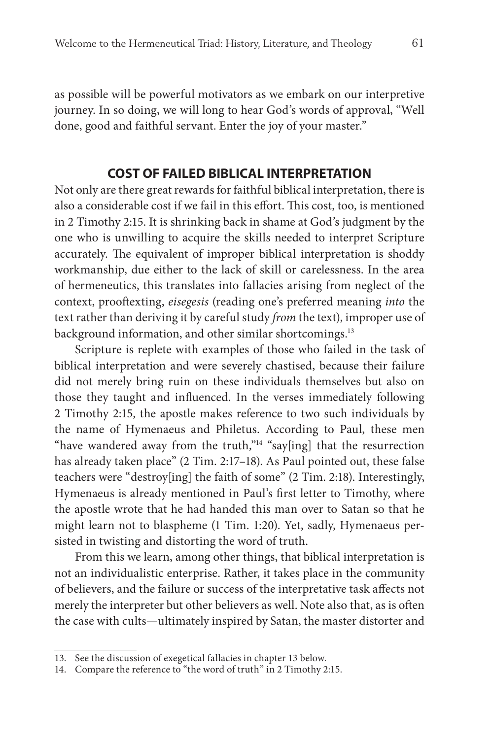as possible will be powerful motivators as we embark on our interpretive journey. In so doing, we will long to hear God's words of approval, "Well done, good and faithful servant. Enter the joy of your master."

#### **COST OF FAILED BIBLICAL INTERPRETATION**

Not only are there great rewards for faithful biblical interpretation, there is also a considerable cost if we fail in this effort. This cost, too, is mentioned in 2 Timothy 2:15. It is shrinking back in shame at God's judgment by the one who is unwilling to acquire the skills needed to interpret Scripture accurately. The equivalent of improper biblical interpretation is shoddy workmanship, due either to the lack of skill or carelessness. In the area of hermeneutics, this translates into fallacies arising from neglect of the context, prooftexting, eisegesis (reading one's preferred meaning into the text rather than deriving it by careful study from the text), improper use of background information, and other similar shortcomings.<sup>13</sup>

Scripture is replete with examples of those who failed in the task of biblical interpretation and were severely chastised, because their failure did not merely bring ruin on these individuals themselves but also on those they taught and influenced. In the verses immediately following 2 Timothy 2:15, the apostle makes reference to two such individuals by the name of Hymenaeus and Philetus. According to Paul, these men "have wandered away from the truth,"<sup>14</sup> "say[ing] that the resurrection has already taken place" (2 Tim. 2:17–18). As Paul pointed out, these false teachers were "destroy[ing] the faith of some" (2 Tim. 2:18). Interestingly, Hymenaeus is already mentioned in Paul's first letter to Timothy, where the apostle wrote that he had handed this man over to Satan so that he might learn not to blaspheme (1 Tim. 1:20). Yet, sadly, Hymenaeus persisted in twisting and distorting the word of truth.

From this we learn, among other things, that biblical interpretation is not an individualistic enterprise. Rather, it takes place in the community of believers, and the failure or success of the interpretative task affects not merely the interpreter but other believers as well. Note also that, as is often the case with cults—ultimately inspired by Satan, the master distorter and

<sup>13.</sup> See the discussion of exegetical fallacies in chapter 13 below.

<sup>14.</sup> Compare the reference to "the word of truth" in 2 Timothy 2:15.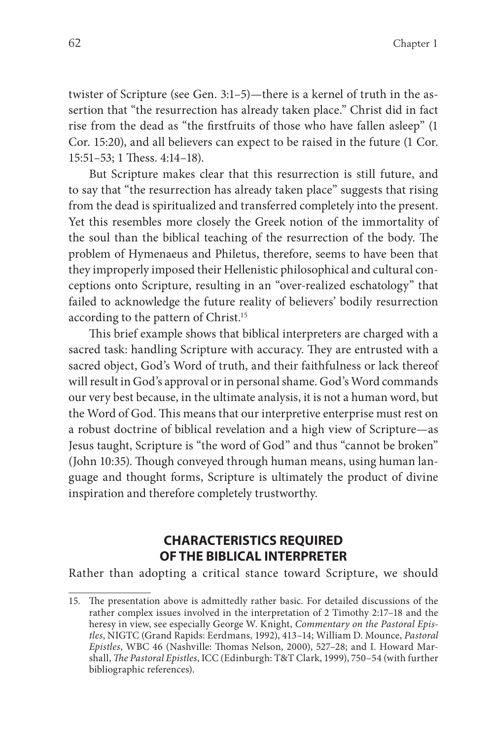twister of Scripture (see Gen. 3:1–5)—there is a kernel of truth in the assertion that "the resurrection has already taken place." Christ did in fact rise from the dead as "the firstfruits of those who have fallen asleep" (1 Cor. 15:20), and all believers can expect to be raised in the future (1 Cor.  $15:51-53$ ; 1 Thess.  $4:14-18$ ).

But Scripture makes clear that this resurrection is still future, and to say that "the resurrection has already taken place" suggests that rising from the dead is spiritualized and transferred completely into the present. Yet this resembles more closely the Greek notion of the immortality of the soul than the biblical teaching of the resurrection of the body. The problem of Hymenaeus and Philetus, therefore, seems to have been that they improperly imposed their Hellenistic philosophical and cultural conceptions onto Scripture, resulting in an "over-realized eschatology" that failed to acknowledge the future reality of believers' bodily resurrection according to the pattern of Christ.15

This brief example shows that biblical interpreters are charged with a sacred task: handling Scripture with accuracy. They are entrusted with a sacred object, God's Word of truth, and their faithfulness or lack thereof will result in God's approval or in personal shame. God's Word commands our very best because, in the ultimate analysis, it is not a human word, but the Word of God. This means that our interpretive enterprise must rest on a robust doctrine of biblical revelation and a high view of Scripture—as Jesus taught, Scripture is "the word of God" and thus "cannot be broken" (John 10:35). Though conveyed through human means, using human language and thought forms, Scripture is ultimately the product of divine inspiration and therefore completely trustworthy.

#### **CHARACTERISTICS REQUIRED OF THE BIBLICAL INTERPRETER**

Rather than adopting a critical stance toward Scripture, we should

<sup>15.</sup> The presentation above is admittedly rather basic. For detailed discussions of the rather complex issues involved in the interpretation of 2 Timothy 2:17–18 and the heresy in view, see especially George W. Knight, Commentary on the Pastoral Epistles, NIGTC (Grand Rapids: Eerdmans, 1992), 413–14; William D. Mounce, Pastoral Epistles, WBC 46 (Nashville: Thomas Nelson, 2000), 527-28; and I. Howard Marshall, The Pastoral Epistles, ICC (Edinburgh: T&T Clark, 1999), 750-54 (with further bibliographic references).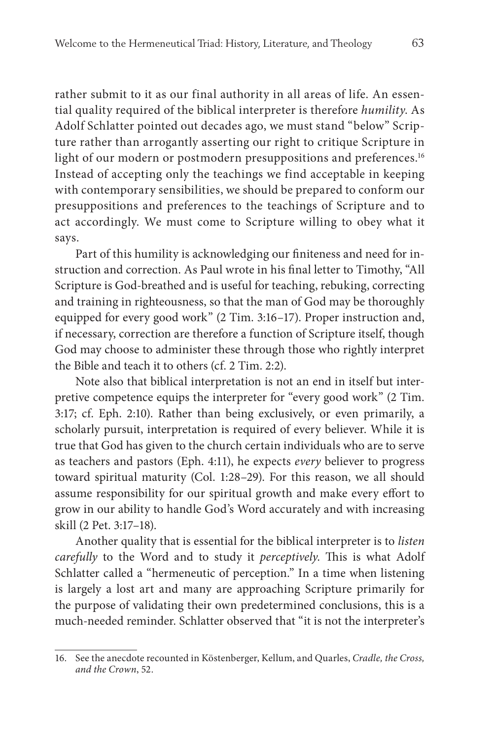rather submit to it as our final authority in all areas of life. An essential quality required of the biblical interpreter is therefore humility. As Adolf Schlatter pointed out decades ago, we must stand "below" Scripture rather than arrogantly asserting our right to critique Scripture in light of our modern or postmodern presuppositions and preferences.<sup>16</sup> Instead of accepting only the teachings we find acceptable in keeping with contemporary sensibilities, we should be prepared to conform our presuppositions and preferences to the teachings of Scripture and to act accordingly. We must come to Scripture willing to obey what it says.

Part of this humility is acknowledging our finiteness and need for instruction and correction. As Paul wrote in his final letter to Timothy, "All Scripture is God-breathed and is useful for teaching, rebuking, correcting and training in righteousness, so that the man of God may be thoroughly equipped for every good work" (2 Tim. 3:16–17). Proper instruction and, if necessary, correction are therefore a function of Scripture itself, though God may choose to administer these through those who rightly interpret the Bible and teach it to others (cf. 2 Tim. 2:2).

Note also that biblical interpretation is not an end in itself but interpretive competence equips the interpreter for "every good work" (2 Tim. 3:17; cf. Eph. 2:10). Rather than being exclusively, or even primarily, a scholarly pursuit, interpretation is required of every believer. While it is true that God has given to the church certain individuals who are to serve as teachers and pastors (Eph. 4:11), he expects every believer to progress toward spiritual maturity (Col. 1:28–29). For this reason, we all should assume responsibility for our spiritual growth and make every effort to grow in our ability to handle God's Word accurately and with increasing skill (2 Pet. 3:17–18).

Another quality that is essential for the biblical interpreter is to listen carefully to the Word and to study it perceptively. This is what Adolf Schlatter called a "hermeneutic of perception." In a time when listening is largely a lost art and many are approaching Scripture primarily for the purpose of validating their own predetermined conclusions, this is a much-needed reminder. Schlatter observed that "it is not the interpreter's

<sup>16.</sup> See the anecdote recounted in Köstenberger, Kellum, and Quarles, Cradle, the Cross, and the Crown, 52.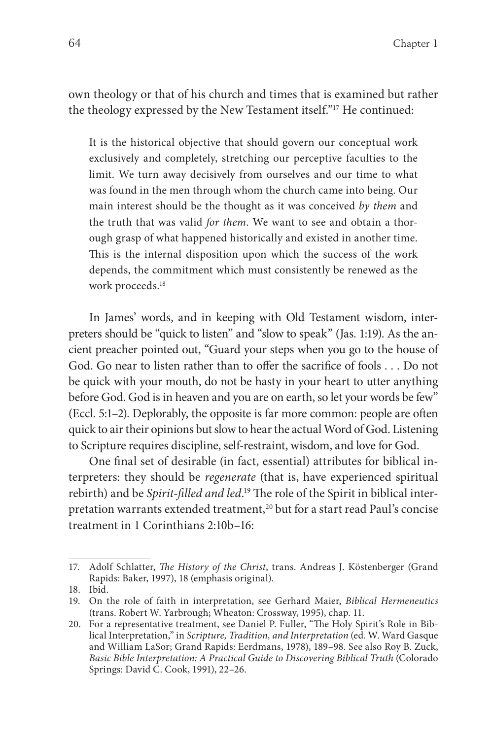own theology or that of his church and times that is examined but rather the theology expressed by the New Testament itself."17 He continued:

It is the historical objective that should govern our conceptual work exclusively and completely, stretching our perceptive faculties to the limit. We turn away decisively from ourselves and our time to what was found in the men through whom the church came into being. Our main interest should be the thought as it was conceived by them and the truth that was valid for them. We want to see and obtain a thorough grasp of what happened historically and existed in another time. This is the internal disposition upon which the success of the work depends, the commitment which must consistently be renewed as the work proceeds.18

In James' words, and in keeping with Old Testament wisdom, interpreters should be "quick to listen" and "slow to speak" (Jas. 1:19). As the ancient preacher pointed out, "Guard your steps when you go to the house of God. Go near to listen rather than to offer the sacrifice of fools . . . Do not be quick with your mouth, do not be hasty in your heart to utter anything before God. God is in heaven and you are on earth, so let your words be few" (Eccl. 5:1–2). Deplorably, the opposite is far more common: people are often quick to air their opinions but slow to hear the actual Word of God. Listening to Scripture requires discipline, self-restraint, wisdom, and love for God.

One final set of desirable (in fact, essential) attributes for biblical interpreters: they should be *regenerate* (that is, have experienced spiritual rebirth) and be Spirit-filled and led.<sup>19</sup> The role of the Spirit in biblical interpretation warrants extended treatment,<sup>20</sup> but for a start read Paul's concise treatment in 1 Corinthians 2:10b–16:

<sup>17.</sup> Adolf Schlatter, The History of the Christ, trans. Andreas J. Köstenberger (Grand Rapids: Baker, 1997), 18 (emphasis original).

<sup>18.</sup> Ibid.

<sup>19.</sup> On the role of faith in interpretation, see Gerhard Maier, Biblical Hermeneutics (trans. Robert W. Yarbrough; Wheaton: Crossway, 1995), chap. 11.

<sup>20.</sup> For a representative treatment, see Daniel P. Fuller, "The Holy Spirit's Role in Biblical Interpretation," in Scripture, Tradition, and Interpretation (ed. W. Ward Gasque and William LaSor; Grand Rapids: Eerdmans, 1978), 189–98. See also Roy B. Zuck, Basic Bible Interpretation: A Practical Guide to Discovering Biblical Truth (Colorado Springs: David C. Cook, 1991), 22–26.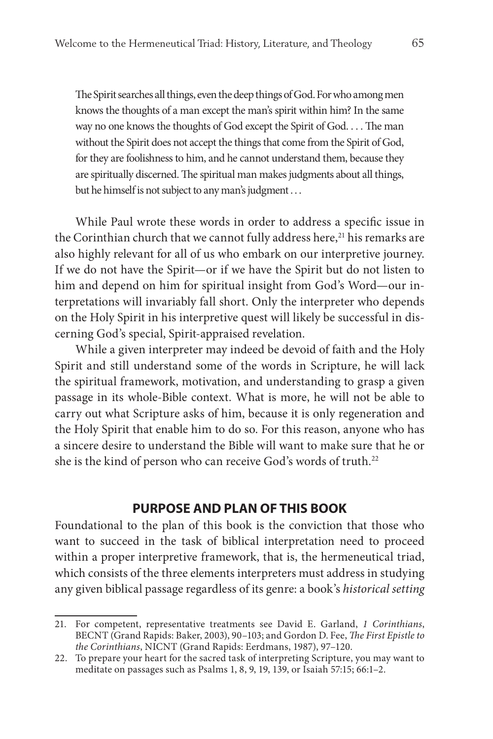The Spirit searches all things, even the deep things of God. For who among men knows the thoughts of a man except the man's spirit within him? In the same way no one knows the thoughts of God except the Spirit of God. . . . The man without the Spirit does not accept the things that come from the Spirit of God, for they are foolishness to him, and he cannot understand them, because they are spiritually discerned. The spiritual man makes judgments about all things, but he himself is not subject to any man's judgment . . .

While Paul wrote these words in order to address a specific issue in the Corinthian church that we cannot fully address here,<sup>21</sup> his remarks are also highly relevant for all of us who embark on our interpretive journey. If we do not have the Spirit—or if we have the Spirit but do not listen to him and depend on him for spiritual insight from God's Word—our interpretations will invariably fall short. Only the interpreter who depends on the Holy Spirit in his interpretive quest will likely be successful in discerning God's special, Spirit-appraised revelation.

While a given interpreter may indeed be devoid of faith and the Holy Spirit and still understand some of the words in Scripture, he will lack the spiritual framework, motivation, and understanding to grasp a given passage in its whole-Bible context. What is more, he will not be able to carry out what Scripture asks of him, because it is only regeneration and the Holy Spirit that enable him to do so. For this reason, anyone who has a sincere desire to understand the Bible will want to make sure that he or she is the kind of person who can receive God's words of truth.<sup>22</sup>

#### **PURPOSE AND PLAN OF THIS BOOK**

Foundational to the plan of this book is the conviction that those who want to succeed in the task of biblical interpretation need to proceed within a proper interpretive framework, that is, the hermeneutical triad, which consists of the three elements interpreters must address in studying any given biblical passage regardless of its genre: a book's historical setting

<sup>21.</sup> For competent, representative treatments see David E. Garland, 1 Corinthians, BECNT (Grand Rapids: Baker, 2003), 90-103; and Gordon D. Fee, The First Epistle to the Corinthians, NICNT (Grand Rapids: Eerdmans, 1987), 97–120.

<sup>22.</sup> To prepare your heart for the sacred task of interpreting Scripture, you may want to meditate on passages such as Psalms 1, 8, 9, 19, 139, or Isaiah 57:15; 66:1–2.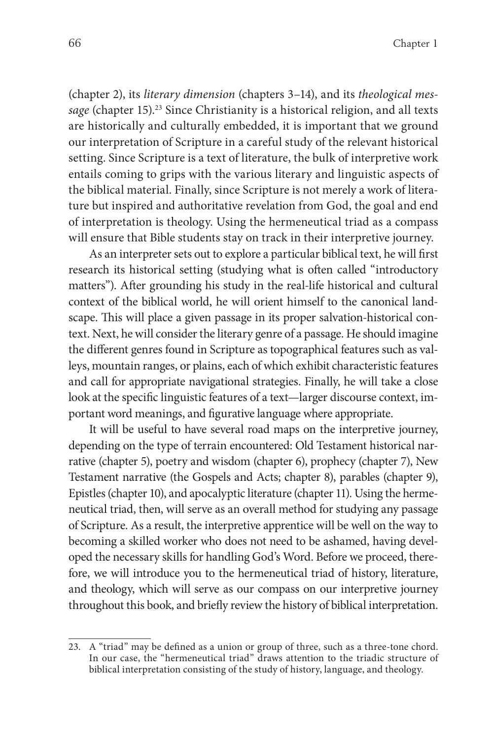(chapter 2), its literary dimension (chapters 3–14), and its theological message (chapter 15).<sup>23</sup> Since Christianity is a historical religion, and all texts are historically and culturally embedded, it is important that we ground our interpretation of Scripture in a careful study of the relevant historical setting. Since Scripture is a text of literature, the bulk of interpretive work entails coming to grips with the various literary and linguistic aspects of the biblical material. Finally, since Scripture is not merely a work of literature but inspired and authoritative revelation from God, the goal and end of interpretation is theology. Using the hermeneutical triad as a compass will ensure that Bible students stay on track in their interpretive journey.

As an interpreter sets out to explore a particular biblical text, he will first research its historical setting (studying what is often called "introductory matters"). After grounding his study in the real-life historical and cultural context of the biblical world, he will orient himself to the canonical landscape. This will place a given passage in its proper salvation-historical context. Next, he will consider the literary genre of a passage. He should imagine the different genres found in Scripture as topographical features such as valleys, mountain ranges, or plains, each of which exhibit characteristic features and call for appropriate navigational strategies. Finally, he will take a close look at the specific linguistic features of a text—larger discourse context, important word meanings, and figurative language where appropriate.

It will be useful to have several road maps on the interpretive journey, depending on the type of terrain encountered: Old Testament historical narrative (chapter 5), poetry and wisdom (chapter 6), prophecy (chapter 7), New Testament narrative (the Gospels and Acts; chapter 8), parables (chapter 9), Epistles (chapter 10), and apocalyptic literature (chapter 11). Using the hermeneutical triad, then, will serve as an overall method for studying any passage of Scripture. As a result, the interpretive apprentice will be well on the way to becoming a skilled worker who does not need to be ashamed, having developed the necessary skills for handling God's Word. Before we proceed, therefore, we will introduce you to the hermeneutical triad of history, literature, and theology, which will serve as our compass on our interpretive journey throughout this book, and briefly review the history of biblical interpretation.

<sup>23.</sup> A "triad" may be defined as a union or group of three, such as a three-tone chord. In our case, the "hermeneutical triad" draws attention to the triadic structure of biblical interpretation consisting of the study of history, language, and theology.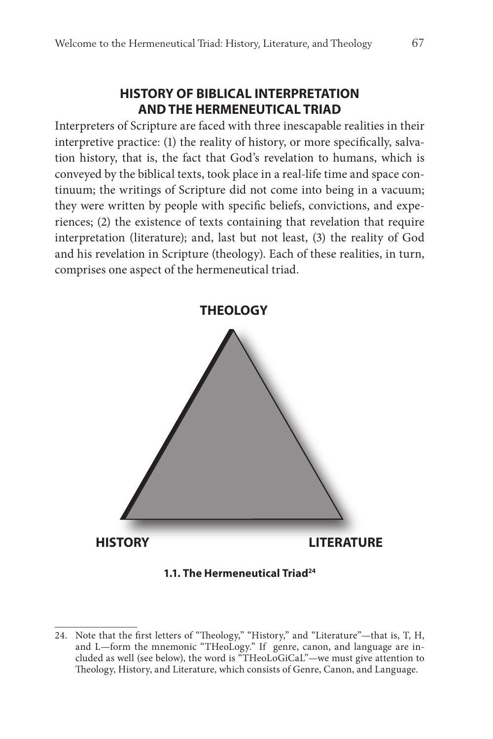#### **HISTORY OF BIBLICAL INTERPRETATION AND THE HERMENEUTICAL TRIAD**

Interpreters of Scripture are faced with three inescapable realities in their interpretive practice: (1) the reality of history, or more specifically, salvation history, that is, the fact that God's revelation to humans, which is conveyed by the biblical texts, took place in a real-life time and space continuum; the writings of Scripture did not come into being in a vacuum; they were written by people with specific beliefs, convictions, and experiences; (2) the existence of texts containing that revelation that require interpretation (literature); and, last but not least, (3) the reality of God and his revelation in Scripture (theology). Each of these realities, in turn, comprises one aspect of the hermeneutical triad.



#### **1.1. The Hermeneutical Triad24**

<sup>24.</sup> Note that the first letters of "Theology," "History," and "Literature"-that is, T, H, and L—form the mnemonic "THeoLogy." If genre, canon, and language are included as well (see below), the word is "THeoLoGiCaL"—we must give attention to Theology, History, and Literature, which consists of Genre, Canon, and Language.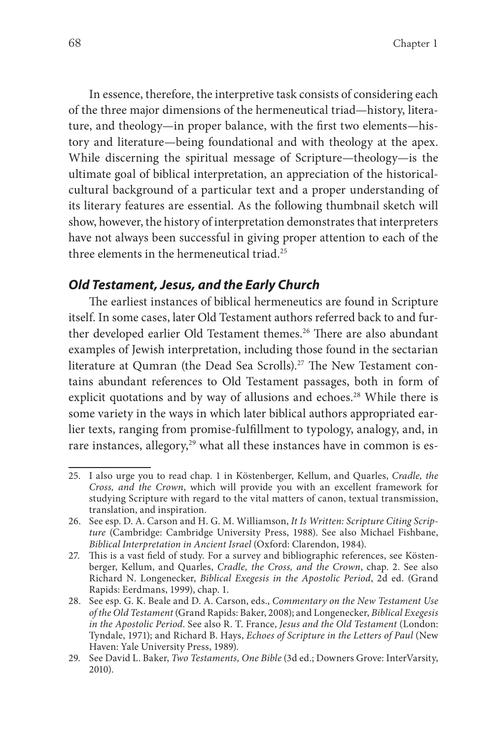In essence, therefore, the interpretive task consists of considering each of the three major dimensions of the hermeneutical triad—history, literature, and theology—in proper balance, with the first two elements—history and literature—being foundational and with theology at the apex. While discerning the spiritual message of Scripture—theology—is the ultimate goal of biblical interpretation, an appreciation of the historicalcultural background of a particular text and a proper understanding of its literary features are essential. As the following thumbnail sketch will show, however, the history of interpretation demonstrates that interpreters have not always been successful in giving proper attention to each of the three elements in the hermeneutical triad  $25$ 

#### **Old Testament, Jesus, and the Early Church**

The earliest instances of biblical hermeneutics are found in Scripture itself. In some cases, later Old Testament authors referred back to and further developed earlier Old Testament themes.<sup>26</sup> There are also abundant examples of Jewish interpretation, including those found in the sectarian literature at Qumran (the Dead Sea Scrolls).<sup>27</sup> The New Testament contains abundant references to Old Testament passages, both in form of explicit quotations and by way of allusions and echoes.<sup>28</sup> While there is some variety in the ways in which later biblical authors appropriated earlier texts, ranging from promise-fulfillment to typology, analogy, and, in rare instances, allegory,<sup>29</sup> what all these instances have in common is es-

<sup>25.</sup> I also urge you to read chap. 1 in Köstenberger, Kellum, and Quarles, Cradle, the Cross, and the Crown, which will provide you with an excellent framework for studying Scripture with regard to the vital matters of canon, textual transmission, translation, and inspiration.

<sup>26.</sup> See esp. D. A. Carson and H. G. M. Williamson, It Is Written: Scripture Citing Scripture (Cambridge: Cambridge University Press, 1988). See also Michael Fishbane, Biblical Interpretation in Ancient Israel (Oxford: Clarendon, 1984).

<sup>27.</sup> This is a vast field of study. For a survey and bibliographic references, see Köstenberger, Kellum, and Quarles, Cradle, the Cross, and the Crown, chap. 2. See also Richard N. Longenecker, Biblical Exegesis in the Apostolic Period, 2d ed. (Grand Rapids: Eerdmans, 1999), chap. 1.

<sup>28.</sup> See esp. G. K. Beale and D. A. Carson, eds., Commentary on the New Testament Use of the Old Testament (Grand Rapids: Baker, 2008); and Longenecker, Biblical Exegesis in the Apostolic Period. See also R. T. France, Jesus and the Old Testament (London: Tyndale, 1971); and Richard B. Hays, Echoes of Scripture in the Letters of Paul (New Haven: Yale University Press, 1989).

<sup>29.</sup> See David L. Baker, Two Testaments, One Bible (3d ed.; Downers Grove: InterVarsity, 2010).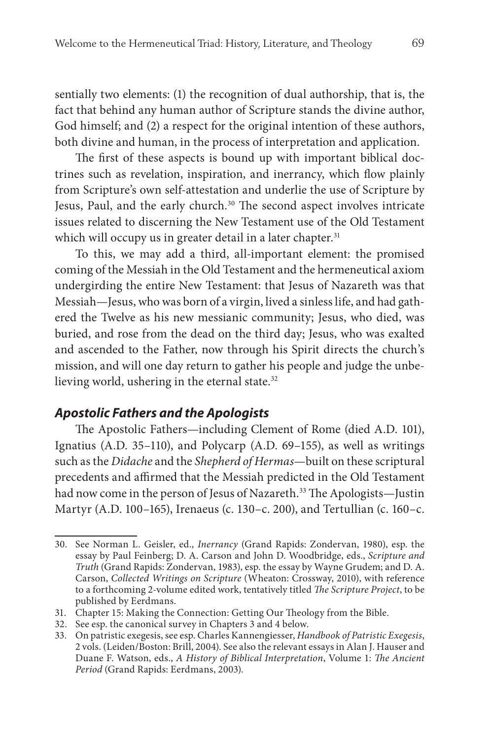sentially two elements: (1) the recognition of dual authorship, that is, the fact that behind any human author of Scripture stands the divine author, God himself; and (2) a respect for the original intention of these authors, both divine and human, in the process of interpretation and application.

The first of these aspects is bound up with important biblical doctrines such as revelation, inspiration, and inerrancy, which flow plainly from Scripture's own self-attestation and underlie the use of Scripture by Jesus, Paul, and the early church.<sup>30</sup> The second aspect involves intricate issues related to discerning the New Testament use of the Old Testament which will occupy us in greater detail in a later chapter.<sup>31</sup>

To this, we may add a third, all-important element: the promised coming of the Messiah in the Old Testament and the hermeneutical axiom undergirding the entire New Testament: that Jesus of Nazareth was that Messiah—Jesus, who was born of a virgin, lived a sinless life, and had gathered the Twelve as his new messianic community; Jesus, who died, was buried, and rose from the dead on the third day; Jesus, who was exalted and ascended to the Father, now through his Spirit directs the church's mission, and will one day return to gather his people and judge the unbelieving world, ushering in the eternal state.<sup>32</sup>

#### **Apostolic Fathers and the Apologists**

The Apostolic Fathers—including Clement of Rome (died A.D. 101), Ignatius (A.D. 35–110), and Polycarp (A.D. 69–155), as well as writings such as the Didache and the Shepherd of Hermas—built on these scriptural precedents and affirmed that the Messiah predicted in the Old Testament had now come in the person of Jesus of Nazareth.<sup>33</sup> The Apologists—Justin Martyr (A.D. 100–165), Irenaeus (c. 130–c. 200), and Tertullian (c. 160–c.

<sup>30.</sup> See Norman L. Geisler, ed., Inerrancy (Grand Rapids: Zondervan, 1980), esp. the essay by Paul Feinberg; D. A. Carson and John D. Woodbridge, eds., Scripture and Truth (Grand Rapids: Zondervan, 1983), esp. the essay by Wayne Grudem; and D. A. Carson, Collected Writings on Scripture (Wheaton: Crossway, 2010), with reference to a forthcoming 2-volume edited work, tentatively titled The Scripture Project, to be published by Eerdmans.

<sup>31.</sup> Chapter 15: Making the Connection: Getting Our Theology from the Bible.

<sup>32.</sup> See esp. the canonical survey in Chapters 3 and 4 below.

<sup>33.</sup> On patristic exegesis, see esp. Charles Kannengiesser, Handbook of Patristic Exegesis, 2 vols. (Leiden/Boston: Brill, 2004). See also the relevant essays in Alan J. Hauser and Duane F. Watson, eds., A History of Biblical Interpretation, Volume 1: The Ancient Period (Grand Rapids: Eerdmans, 2003).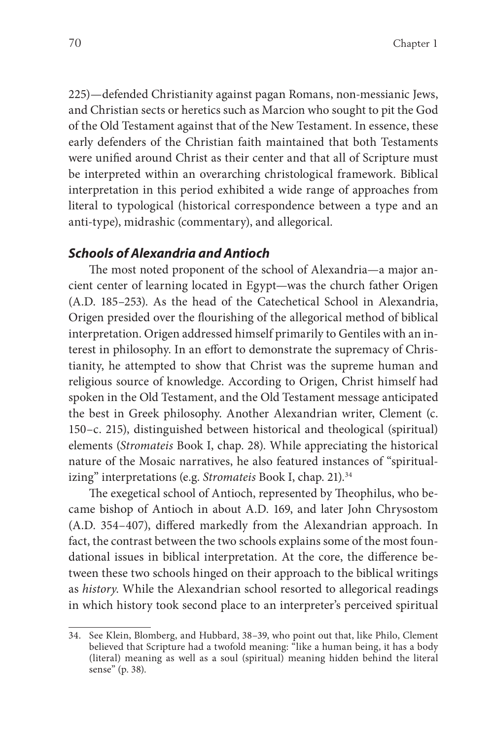225)—defended Christianity against pagan Romans, non-messianic Jews, and Christian sects or heretics such as Marcion who sought to pit the God of the Old Testament against that of the New Testament. In essence, these early defenders of the Christian faith maintained that both Testaments were unified around Christ as their center and that all of Scripture must be interpreted within an overarching christological framework. Biblical interpretation in this period exhibited a wide range of approaches from literal to typological (historical correspondence between a type and an anti-type), midrashic (commentary), and allegorical.

#### **Schools of Alexandria and Antioch**

The most noted proponent of the school of Alexandria—a major ancient center of learning located in Egypt—was the church father Origen (A.D. 185–253). As the head of the Catechetical School in Alexandria, Origen presided over the flourishing of the allegorical method of biblical interpretation. Origen addressed himself primarily to Gentiles with an interest in philosophy. In an effort to demonstrate the supremacy of Christianity, he attempted to show that Christ was the supreme human and religious source of knowledge. According to Origen, Christ himself had spoken in the Old Testament, and the Old Testament message anticipated the best in Greek philosophy. Another Alexandrian writer, Clement (c. 150–c. 215), distinguished between historical and theological (spiritual) elements (Stromateis Book I, chap. 28). While appreciating the historical nature of the Mosaic narratives, he also featured instances of "spiritualizing" interpretations (e.g. Stromateis Book I, chap. 21).<sup>34</sup>

The exegetical school of Antioch, represented by Theophilus, who became bishop of Antioch in about A.D. 169, and later John Chrysostom (A.D. 354-407), differed markedly from the Alexandrian approach. In fact, the contrast between the two schools explains some of the most foundational issues in biblical interpretation. At the core, the difference between these two schools hinged on their approach to the biblical writings as history. While the Alexandrian school resorted to allegorical readings in which history took second place to an interpreter's perceived spiritual

<sup>34.</sup> See Klein, Blomberg, and Hubbard, 38–39, who point out that, like Philo, Clement believed that Scripture had a twofold meaning: "like a human being, it has a body (literal) meaning as well as a soul (spiritual) meaning hidden behind the literal sense" (p. 38).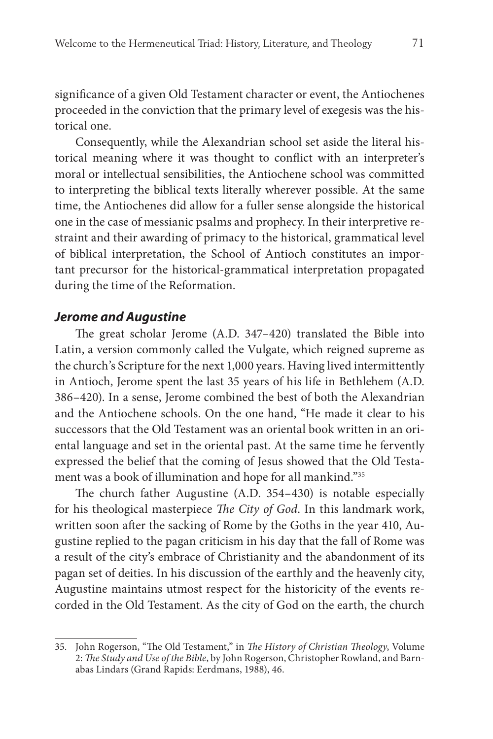significance of a given Old Testament character or event, the Antiochenes proceeded in the conviction that the primary level of exegesis was the historical one.

Consequently, while the Alexandrian school set aside the literal historical meaning where it was thought to conflict with an interpreter's moral or intellectual sensibilities, the Antiochene school was committed to interpreting the biblical texts literally wherever possible. At the same time, the Antiochenes did allow for a fuller sense alongside the historical one in the case of messianic psalms and prophecy. In their interpretive restraint and their awarding of primacy to the historical, grammatical level of biblical interpretation, the School of Antioch constitutes an important precursor for the historical-grammatical interpretation propagated during the time of the Reformation.

#### **Jerome and Augustine**

The great scholar Jerome (A.D. 347-420) translated the Bible into Latin, a version commonly called the Vulgate, which reigned supreme as the church's Scripture for the next 1,000 years. Having lived intermittently in Antioch, Jerome spent the last 35 years of his life in Bethlehem (A.D. 386–420). In a sense, Jerome combined the best of both the Alexandrian and the Antiochene schools. On the one hand, "He made it clear to his successors that the Old Testament was an oriental book written in an oriental language and set in the oriental past. At the same time he fervently expressed the belief that the coming of Jesus showed that the Old Testament was a book of illumination and hope for all mankind."35

The church father Augustine (A.D.  $354-430$ ) is notable especially for his theological masterpiece The City of God. In this landmark work, written soon after the sacking of Rome by the Goths in the year 410, Augustine replied to the pagan criticism in his day that the fall of Rome was a result of the city's embrace of Christianity and the abandonment of its pagan set of deities. In his discussion of the earthly and the heavenly city, Augustine maintains utmost respect for the historicity of the events recorded in the Old Testament. As the city of God on the earth, the church

<sup>35.</sup> John Rogerson, "The Old Testament," in The History of Christian Theology, Volume 2: The Study and Use of the Bible, by John Rogerson, Christopher Rowland, and Barnabas Lindars (Grand Rapids: Eerdmans, 1988), 46.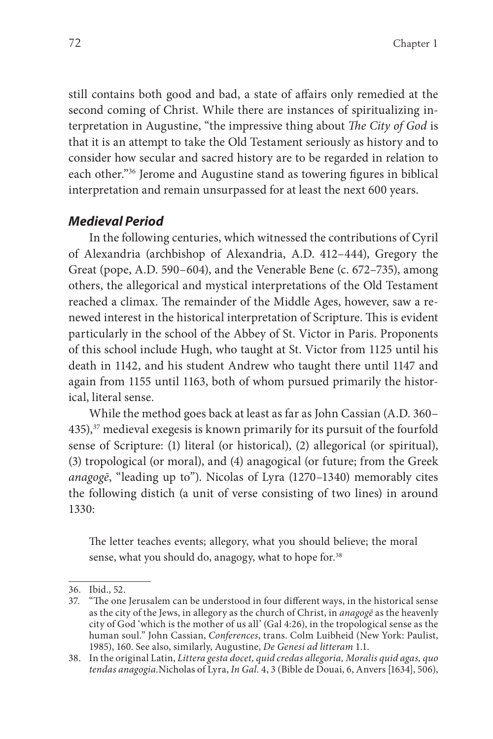still contains both good and bad, a state of affairs only remedied at the second coming of Christ. While there are instances of spiritualizing interpretation in Augustine, "the impressive thing about The City of God is that it is an attempt to take the Old Testament seriously as history and to consider how secular and sacred history are to be regarded in relation to each other."<sup>36</sup> Jerome and Augustine stand as towering figures in biblical interpretation and remain unsurpassed for at least the next 600 years.

#### **Medieval Period**

In the following centuries, which witnessed the contributions of Cyril of Alexandria (archbishop of Alexandria, A.D. 412–444), Gregory the Great (pope, A.D. 590–604), and the Venerable Bene (c. 672–735), among others, the allegorical and mystical interpretations of the Old Testament reached a climax. The remainder of the Middle Ages, however, saw a renewed interest in the historical interpretation of Scripture. This is evident particularly in the school of the Abbey of St. Victor in Paris. Proponents of this school include Hugh, who taught at St. Victor from 1125 until his death in 1142, and his student Andrew who taught there until 1147 and again from 1155 until 1163, both of whom pursued primarily the historical, literal sense.

While the method goes back at least as far as John Cassian (A.D. 360–  $435$ ),<sup>37</sup> medieval exegesis is known primarily for its pursuit of the fourfold sense of Scripture: (1) literal (or historical), (2) allegorical (or spiritual), (3) tropological (or moral), and (4) anagogical (or future; from the Greek anagogē, "leading up to"). Nicolas of Lyra (1270–1340) memorably cites the following distich (a unit of verse consisting of two lines) in around 1330:

The letter teaches events; allegory, what you should believe; the moral sense, what you should do, anagogy, what to hope for.<sup>38</sup>

<sup>36.</sup> Ibid., 52.

<sup>37. &</sup>quot;The one Jerusalem can be understood in four different ways, in the historical sense as the city of the Jews, in allegory as the church of Christ, in anagoge as the heavenly city of God 'which is the mother of us all' (Gal 4:26), in the tropological sense as the human soul." John Cassian, Conferences, trans. Colm Luibheid (New York: Paulist, 1985), 160. See also, similarly, Augustine, De Genesi ad litteram 1.1.

<sup>38.</sup> In the original Latin, Littera gesta docet, quid credas allegoria, Moralis quid agas, quo tendas anagogia.Nicholas of Lyra, In Gal. 4, 3 (Bible de Douai, 6, Anvers [1634], 506),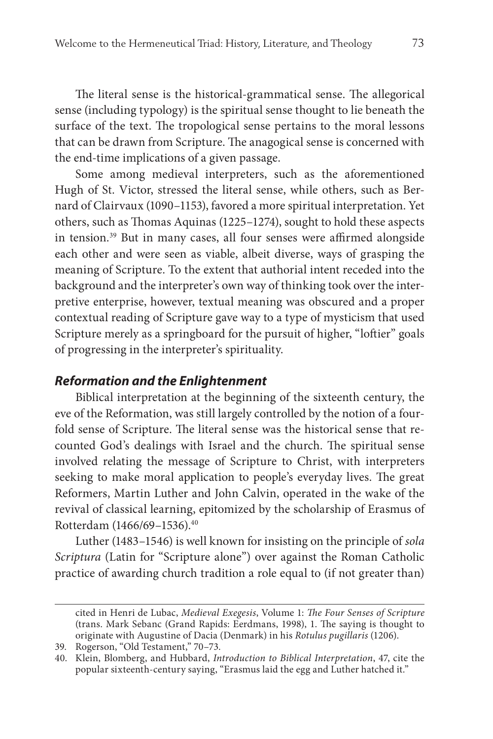The literal sense is the historical-grammatical sense. The allegorical sense (including typology) is the spiritual sense thought to lie beneath the surface of the text. The tropological sense pertains to the moral lessons that can be drawn from Scripture. The anagogical sense is concerned with the end-time implications of a given passage.

Some among medieval interpreters, such as the aforementioned Hugh of St. Victor, stressed the literal sense, while others, such as Bernard of Clairvaux (1090–1153), favored a more spiritual interpretation. Yet others, such as Thomas Aquinas (1225–1274), sought to hold these aspects in tension.<sup>39</sup> But in many cases, all four senses were affirmed alongside each other and were seen as viable, albeit diverse, ways of grasping the meaning of Scripture. To the extent that authorial intent receded into the background and the interpreter's own way of thinking took over the interpretive enterprise, however, textual meaning was obscured and a proper contextual reading of Scripture gave way to a type of mysticism that used Scripture merely as a springboard for the pursuit of higher, "loftier" goals of progressing in the interpreter's spirituality.

#### **Reformation and the Enlightenment**

Biblical interpretation at the beginning of the sixteenth century, the eve of the Reformation, was still largely controlled by the notion of a fourfold sense of Scripture. The literal sense was the historical sense that recounted God's dealings with Israel and the church. The spiritual sense involved relating the message of Scripture to Christ, with interpreters seeking to make moral application to people's everyday lives. The great Reformers, Martin Luther and John Calvin, operated in the wake of the revival of classical learning, epitomized by the scholarship of Erasmus of Rotterdam (1466/69–1536).40

Luther (1483–1546) is well known for insisting on the principle of sola Scriptura (Latin for "Scripture alone") over against the Roman Catholic practice of awarding church tradition a role equal to (if not greater than)

cited in Henri de Lubac, Medieval Exegesis, Volume 1: The Four Senses of Scripture (trans. Mark Sebanc (Grand Rapids: Eerdmans, 1998), 1. The saying is thought to originate with Augustine of Dacia (Denmark) in his Rotulus pugillaris (1206).

<sup>39.</sup> Rogerson, "Old Testament," 70–73.

<sup>40.</sup> Klein, Blomberg, and Hubbard, Introduction to Biblical Interpretation, 47, cite the popular sixteenth-century saying, "Erasmus laid the egg and Luther hatched it."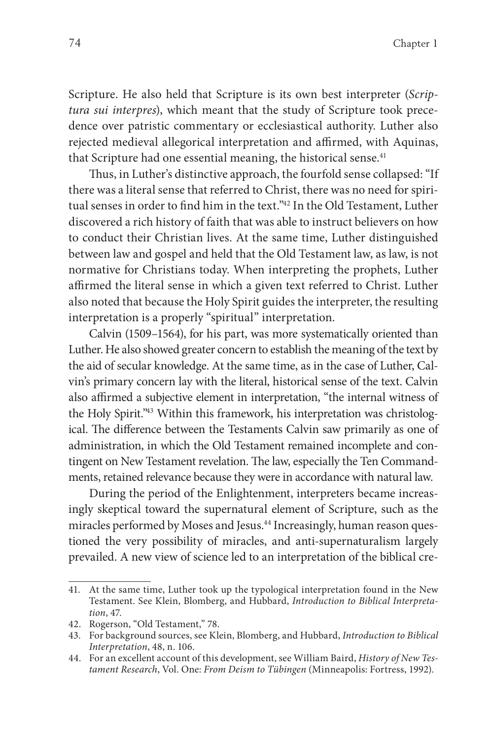Scripture. He also held that Scripture is its own best interpreter (Scriptura sui interpres), which meant that the study of Scripture took precedence over patristic commentary or ecclesiastical authority. Luther also rejected medieval allegorical interpretation and affirmed, with Aquinas, that Scripture had one essential meaning, the historical sense.<sup>41</sup>

Thus, in Luther's distinctive approach, the fourfold sense collapsed: "If there was a literal sense that referred to Christ, there was no need for spiritual senses in order to find him in the text."<sup>42</sup> In the Old Testament, Luther discovered a rich history of faith that was able to instruct believers on how to conduct their Christian lives. At the same time, Luther distinguished between law and gospel and held that the Old Testament law, as law, is not normative for Christians today. When interpreting the prophets, Luther affirmed the literal sense in which a given text referred to Christ. Luther also noted that because the Holy Spirit guides the interpreter, the resulting interpretation is a properly "spiritual" interpretation.

Calvin (1509–1564), for his part, was more systematically oriented than Luther. He also showed greater concern to establish the meaning of the text by the aid of secular knowledge. At the same time, as in the case of Luther, Calvin's primary concern lay with the literal, historical sense of the text. Calvin also affirmed a subjective element in interpretation, "the internal witness of the Holy Spirit."<sup>43</sup> Within this framework, his interpretation was christological. The difference between the Testaments Calvin saw primarily as one of administration, in which the Old Testament remained incomplete and contingent on New Testament revelation. The law, especially the Ten Commandments, retained relevance because they were in accordance with natural law.

During the period of the Enlightenment, interpreters became increasingly skeptical toward the supernatural element of Scripture, such as the miracles performed by Moses and Jesus.<sup>44</sup> Increasingly, human reason questioned the very possibility of miracles, and anti-supernaturalism largely prevailed. A new view of science led to an interpretation of the biblical cre-

<sup>41.</sup> At the same time, Luther took up the typological interpretation found in the New Testament. See Klein, Blomberg, and Hubbard, Introduction to Biblical Interpretation, 47.

<sup>42.</sup> Rogerson, "Old Testament," 78.

<sup>43.</sup> For background sources, see Klein, Blomberg, and Hubbard, Introduction to Biblical Interpretation, 48, n. 106.

<sup>44.</sup> For an excellent account of this development, see William Baird, History of New Testament Research, Vol. One: From Deism to Tübingen (Minneapolis: Fortress, 1992).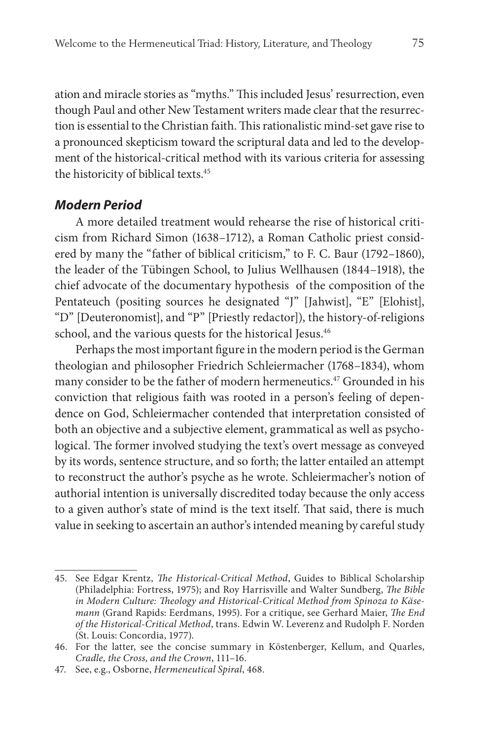ation and miracle stories as "myths." This included Jesus' resurrection, even though Paul and other New Testament writers made clear that the resurrection is essential to the Christian faith. This rationalistic mind-set gave rise to a pronounced skepticism toward the scriptural data and led to the development of the historical-critical method with its various criteria for assessing the historicity of biblical texts.45

#### **Modern Period**

A more detailed treatment would rehearse the rise of historical criticism from Richard Simon (1638–1712), a Roman Catholic priest considered by many the "father of biblical criticism," to F. C. Baur (1792–1860), the leader of the Tübingen School, to Julius Wellhausen (1844–1918), the chief advocate of the documentary hypothesis of the composition of the Pentateuch (positing sources he designated "J" [Jahwist], "E" [Elohist], "D" [Deuteronomist], and "P" [Priestly redactor]), the history-of-religions school, and the various quests for the historical Jesus.<sup>46</sup>

Perhaps the most important figure in the modern period is the German theologian and philosopher Friedrich Schleiermacher (1768–1834), whom many consider to be the father of modern hermeneutics.<sup>47</sup> Grounded in his conviction that religious faith was rooted in a person's feeling of dependence on God, Schleiermacher contended that interpretation consisted of both an objective and a subjective element, grammatical as well as psychological. The former involved studying the text's overt message as conveyed by its words, sentence structure, and so forth; the latter entailed an attempt to reconstruct the author's psyche as he wrote. Schleiermacher's notion of authorial intention is universally discredited today because the only access to a given author's state of mind is the text itself. That said, there is much value in seeking to ascertain an author's intended meaning by careful study

<sup>45.</sup> See Edgar Krentz, The Historical-Critical Method, Guides to Biblical Scholarship (Philadelphia: Fortress, 1975); and Roy Harrisville and Walter Sundberg, The Bible in Modern Culture: Theology and Historical-Critical Method from Spinoza to Käsemann (Grand Rapids: Eerdmans, 1995). For a critique, see Gerhard Maier, The End of the Historical-Critical Method, trans. Edwin W. Leverenz and Rudolph F. Norden (St. Louis: Concordia, 1977).

<sup>46.</sup> For the latter, see the concise summary in Köstenberger, Kellum, and Quarles, Cradle, the Cross, and the Crown, 111–16.

<sup>47.</sup> See, e.g., Osborne, Hermeneutical Spiral, 468.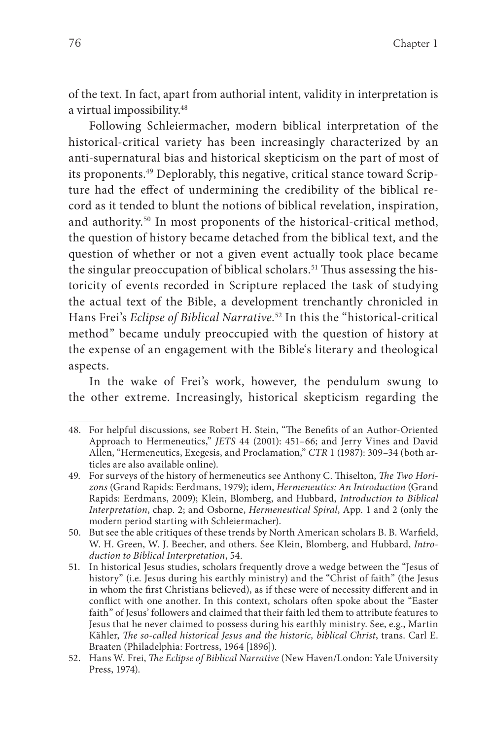of the text. In fact, apart from authorial intent, validity in interpretation is a virtual impossibility.<sup>48</sup>

Following Schleiermacher, modern biblical interpretation of the historical-critical variety has been increasingly characterized by an anti-supernatural bias and historical skepticism on the part of most of its proponents.<sup>49</sup> Deplorably, this negative, critical stance toward Scripture had the effect of undermining the credibility of the biblical record as it tended to blunt the notions of biblical revelation, inspiration, and authority.<sup>50</sup> In most proponents of the historical-critical method, the question of history became detached from the biblical text, and the question of whether or not a given event actually took place became the singular preoccupation of biblical scholars.<sup>51</sup> Thus assessing the historicity of events recorded in Scripture replaced the task of studying the actual text of the Bible, a development trenchantly chronicled in Hans Frei's Eclipse of Biblical Narrative. 52 In this the "historical-critical method" became unduly preoccupied with the question of history at the expense of an engagement with the Bible's literary and theological aspects.

In the wake of Frei's work, however, the pendulum swung to the other extreme. Increasingly, historical skepticism regarding the

<sup>48.</sup> For helpful discussions, see Robert H. Stein, "The Benefits of an Author-Oriented Approach to Hermeneutics," JETS 44 (2001): 451–66; and Jerry Vines and David Allen, "Hermeneutics, Exegesis, and Proclamation," CTR 1 (1987): 309–34 (both articles are also available online).

<sup>49.</sup> For surveys of the history of hermeneutics see Anthony C. Thiselton, The Two Horizons (Grand Rapids: Eerdmans, 1979); idem, Hermeneutics: An Introduction (Grand Rapids: Eerdmans, 2009); Klein, Blomberg, and Hubbard, Introduction to Biblical Interpretation, chap. 2; and Osborne, Hermeneutical Spiral, App. 1 and 2 (only the modern period starting with Schleiermacher).

<sup>50.</sup> But see the able critiques of these trends by North American scholars B. B. Warfield, W. H. Green, W. J. Beecher, and others. See Klein, Blomberg, and Hubbard, Introduction to Biblical Interpretation, 54.

<sup>51.</sup> In historical Jesus studies, scholars frequently drove a wedge between the "Jesus of history" (i.e. Jesus during his earthly ministry) and the "Christ of faith" (the Jesus in whom the first Christians believed), as if these were of necessity different and in conflict with one another. In this context, scholars often spoke about the "Easter faith" of Jesus' followers and claimed that their faith led them to attribute features to Jesus that he never claimed to possess during his earthly ministry. See, e.g., Martin Kähler, The so-called historical Jesus and the historic, biblical Christ, trans. Carl E. Braaten (Philadelphia: Fortress, 1964 [1896]).

<sup>52.</sup> Hans W. Frei, The Eclipse of Biblical Narrative (New Haven/London: Yale University Press, 1974).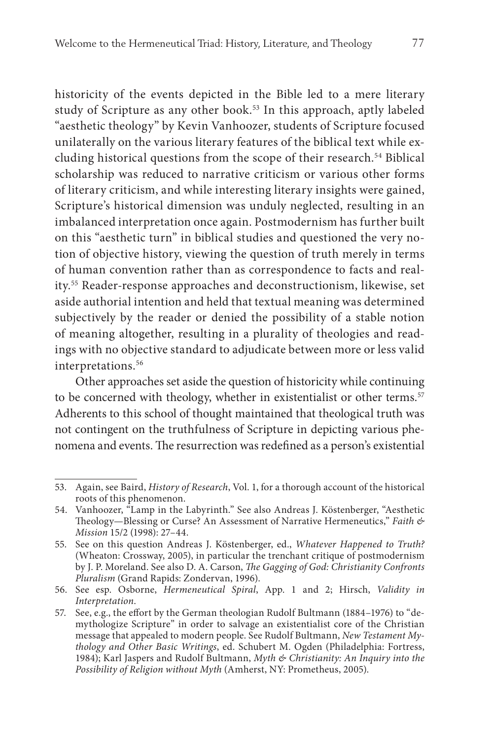historicity of the events depicted in the Bible led to a mere literary study of Scripture as any other book.<sup>53</sup> In this approach, aptly labeled "aesthetic theology" by Kevin Vanhoozer, students of Scripture focused unilaterally on the various literary features of the biblical text while excluding historical questions from the scope of their research.<sup>54</sup> Biblical scholarship was reduced to narrative criticism or various other forms of literary criticism, and while interesting literary insights were gained, Scripture's historical dimension was unduly neglected, resulting in an imbalanced interpretation once again. Postmodernism has further built on this "aesthetic turn" in biblical studies and questioned the very notion of objective history, viewing the question of truth merely in terms of human convention rather than as correspondence to facts and reality.55 Reader-response approaches and deconstructionism, likewise, set aside authorial intention and held that textual meaning was determined subjectively by the reader or denied the possibility of a stable notion of meaning altogether, resulting in a plurality of theologies and readings with no objective standard to adjudicate between more or less valid interpretations.<sup>56</sup>

Other approaches set aside the question of historicity while continuing to be concerned with theology, whether in existentialist or other terms.<sup>57</sup> Adherents to this school of thought maintained that theological truth was not contingent on the truthfulness of Scripture in depicting various phenomena and events. The resurrection was redefined as a person's existential

<sup>53.</sup> Again, see Baird, History of Research, Vol. 1, for a thorough account of the historical roots of this phenomenon.

<sup>54.</sup> Vanhoozer, "Lamp in the Labyrinth." See also Andreas J. Köstenberger, "Aesthetic Theology—Blessing or Curse? An Assessment of Narrative Hermeneutics," Faith  $\phi$ Mission 15/2 (1998): 27–44.

<sup>55.</sup> See on this question Andreas J. Köstenberger, ed., Whatever Happened to Truth? (Wheaton: Crossway, 2005), in particular the trenchant critique of postmodernism by J. P. Moreland. See also D. A. Carson, The Gagging of God: Christianity Confronts Pluralism (Grand Rapids: Zondervan, 1996).

<sup>56.</sup> See esp. Osborne, Hermeneutical Spiral, App. 1 and 2; Hirsch, Validity in Interpretation.

<sup>57.</sup> See, e.g., the effort by the German theologian Rudolf Bultmann (1884–1976) to "demythologize Scripture" in order to salvage an existentialist core of the Christian message that appealed to modern people. See Rudolf Bultmann, New Testament Mythology and Other Basic Writings, ed. Schubert M. Ogden (Philadelphia: Fortress, 1984); Karl Jaspers and Rudolf Bultmann, Myth & Christianity: An Inquiry into the Possibility of Religion without Myth (Amherst, NY: Prometheus, 2005).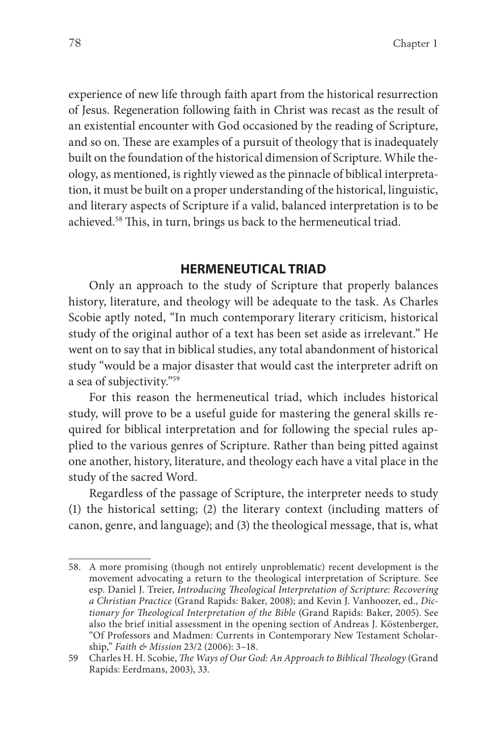experience of new life through faith apart from the historical resurrection of Jesus. Regeneration following faith in Christ was recast as the result of an existential encounter with God occasioned by the reading of Scripture, and so on. These are examples of a pursuit of theology that is inadequately built on the foundation of the historical dimension of Scripture. While theology, as mentioned, is rightly viewed as the pinnacle of biblical interpretation, it must be built on a proper understanding of the historical, linguistic, and literary aspects of Scripture if a valid, balanced interpretation is to be achieved.<sup>58</sup> This, in turn, brings us back to the hermeneutical triad.

#### **HERMENEUTICAL TRIAD**

Only an approach to the study of Scripture that properly balances history, literature, and theology will be adequate to the task. As Charles Scobie aptly noted, "In much contemporary literary criticism, historical study of the original author of a text has been set aside as irrelevant." He went on to say that in biblical studies, any total abandonment of historical study "would be a major disaster that would cast the interpreter adrift on a sea of subjectivity."59

For this reason the hermeneutical triad, which includes historical study, will prove to be a useful guide for mastering the general skills required for biblical interpretation and for following the special rules applied to the various genres of Scripture. Rather than being pitted against one another, history, literature, and theology each have a vital place in the study of the sacred Word.

Regardless of the passage of Scripture, the interpreter needs to study (1) the historical setting; (2) the literary context (including matters of canon, genre, and language); and (3) the theological message, that is, what

<sup>58.</sup> A more promising (though not entirely unproblematic) recent development is the movement advocating a return to the theological interpretation of Scripture. See esp. Daniel J. Treier, Introducing Theological Interpretation of Scripture: Recovering a Christian Practice (Grand Rapids: Baker, 2008); and Kevin J. Vanhoozer, ed., Dictionary for Theological Interpretation of the Bible (Grand Rapids: Baker, 2005). See also the brief initial assessment in the opening section of Andreas J. Köstenberger, "Of Professors and Madmen: Currents in Contemporary New Testament Scholarship," Faith & Mission 23/2 (2006): 3–18.

<sup>59</sup> Charles H. H. Scobie, The Ways of Our God: An Approach to Biblical Theology (Grand Rapids: Eerdmans, 2003), 33.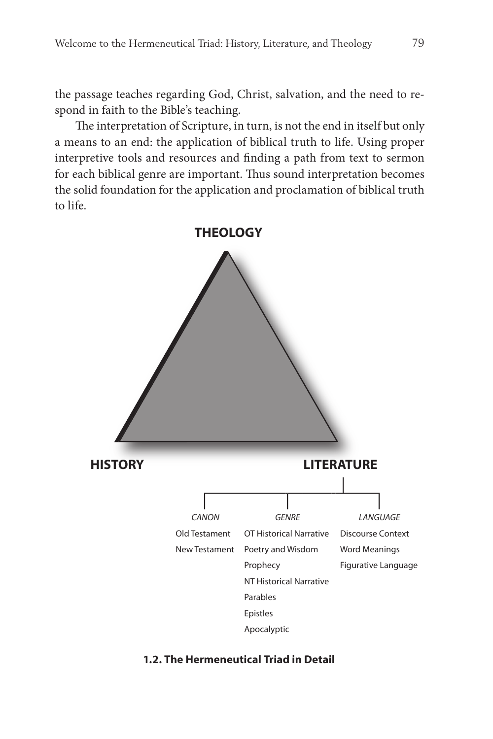the passage teaches regarding God, Christ, salvation, and the need to respond in faith to the Bible's teaching.

The interpretation of Scripture, in turn, is not the end in itself but only a means to an end: the application of biblical truth to life. Using proper interpretive tools and resources and finding a path from text to sermon for each biblical genre are important. Thus sound interpretation becomes the solid foundation for the application and proclamation of biblical truth to life.



#### **1.2. The Hermeneutical Triad in Detail**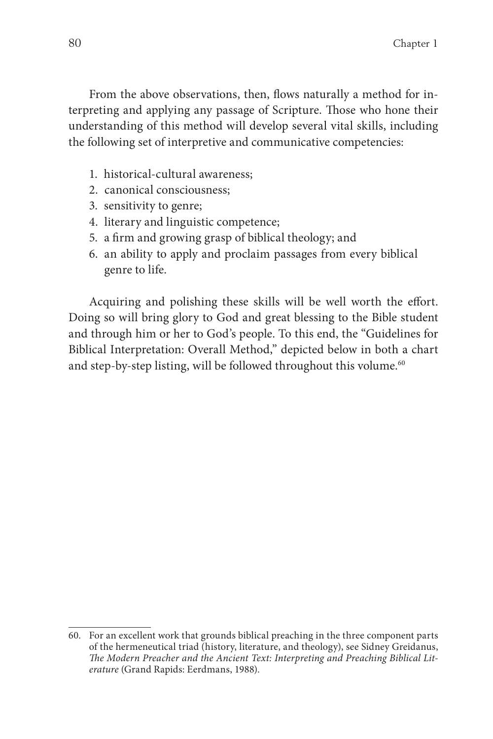From the above observations, then, flows naturally a method for interpreting and applying any passage of Scripture. Those who hone their understanding of this method will develop several vital skills, including the following set of interpretive and communicative competencies:

- 1. historical-cultural awareness;
- 2. canonical consciousness;
- 3. sensitivity to genre;
- 4. literary and linguistic competence;
- 5. a firm and growing grasp of biblical theology; and
- 6. an ability to apply and proclaim passages from every biblical genre to life.

Acquiring and polishing these skills will be well worth the effort. Doing so will bring glory to God and great blessing to the Bible student and through him or her to God's people. To this end, the "Guidelines for Biblical Interpretation: Overall Method," depicted below in both a chart and step-by-step listing, will be followed throughout this volume.<sup>60</sup>

<sup>60.</sup> For an excellent work that grounds biblical preaching in the three component parts of the hermeneutical triad (history, literature, and theology), see Sidney Greidanus, The Modern Preacher and the Ancient Text: Interpreting and Preaching Biblical Literature (Grand Rapids: Eerdmans, 1988).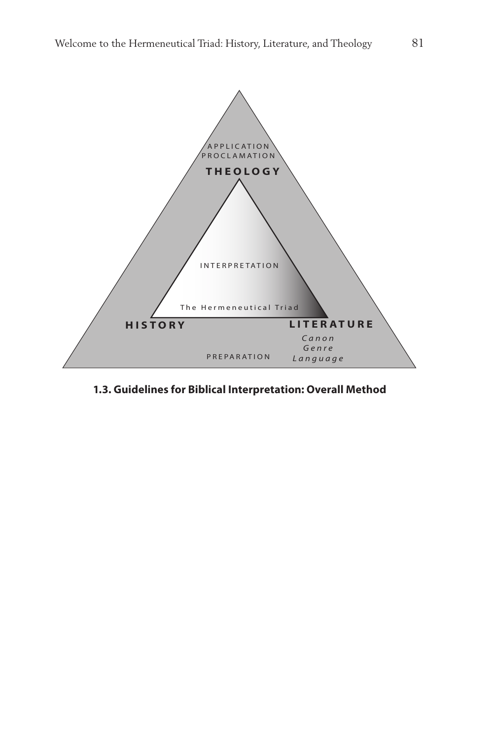

**1.3. Guidelines for Biblical Interpretation: Overall Method**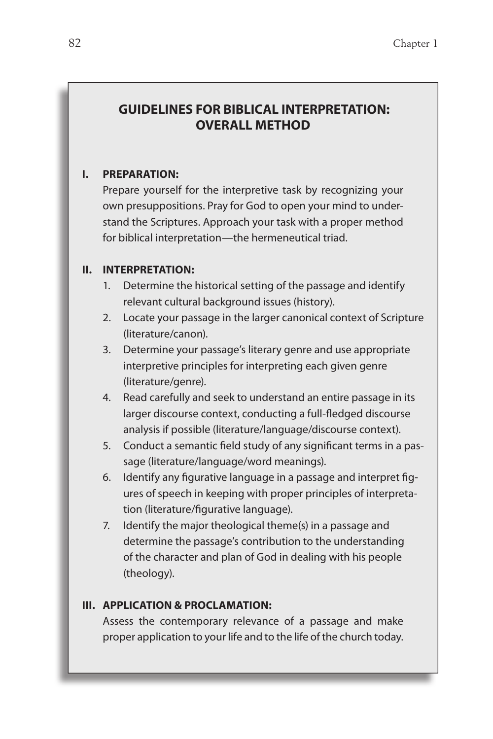## **GUIDELINES FOR BIBLICAL INTERPRETATION: OVERALL METHOD**

#### **I. PREPARATION:**

Prepare yourself for the interpretive task by recognizing your own presuppositions. Pray for God to open your mind to understand the Scriptures. Approach your task with a proper method for biblical interpretation—the hermeneutical triad.

#### **II. INTERPRETATION:**

- 1. Determine the historical setting of the passage and identify relevant cultural background issues (history).
- 2. Locate your passage in the larger canonical context of Scripture (literature/canon).
- 3. Determine your passage's literary genre and use appropriate interpretive principles for interpreting each given genre (literature/genre).
- 4. Read carefully and seek to understand an entire passage in its larger discourse context, conducting a full-fledged discourse analysis if possible (literature/language/discourse context).
- 5. Conduct a semantic field study of any significant terms in a passage (literature/language/word meanings).
- 6. Identify any figurative language in a passage and interpret figures of speech in keeping with proper principles of interpretation (literature/figurative language).
- 7. Identify the major theological theme(s) in a passage and determine the passage's contribution to the understanding of the character and plan of God in dealing with his people (theology).

#### **III. APPLICATION & PROCLAMATION:**

Assess the contemporary relevance of a passage and make proper application to your life and to the life of the church today.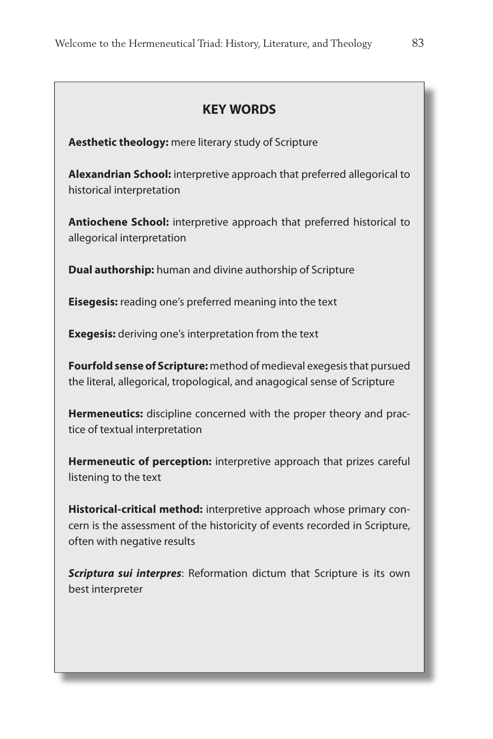| <b>KEY WORDS</b>                                                                                                                                                                  |
|-----------------------------------------------------------------------------------------------------------------------------------------------------------------------------------|
| Aesthetic theology: mere literary study of Scripture                                                                                                                              |
| Alexandrian School: interpretive approach that preferred allegorical to<br>historical interpretation                                                                              |
| Antiochene School: interpretive approach that preferred historical to<br>allegorical interpretation                                                                               |
| <b>Dual authorship:</b> human and divine authorship of Scripture                                                                                                                  |
| Eisegesis: reading one's preferred meaning into the text                                                                                                                          |
| <b>Exegesis:</b> deriving one's interpretation from the text                                                                                                                      |
| Fourfold sense of Scripture: method of medieval exegesis that pursued<br>the literal, allegorical, tropological, and anagogical sense of Scripture                                |
| Hermeneutics: discipline concerned with the proper theory and prac-<br>tice of textual interpretation                                                                             |
| Hermeneutic of perception: interpretive approach that prizes careful<br>listening to the text                                                                                     |
| Historical-critical method: interpretive approach whose primary con-<br>cern is the assessment of the historicity of events recorded in Scripture,<br>often with negative results |
| Scriptura sui interpres: Reformation dictum that Scripture is its own<br>best interpreter                                                                                         |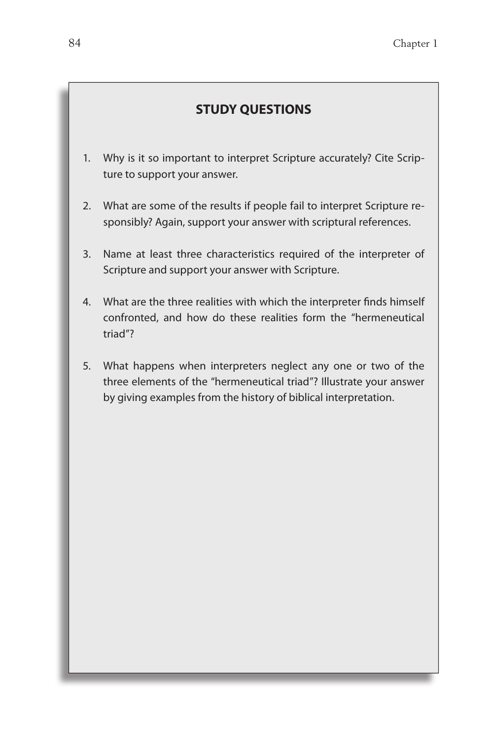## **STUDY QUESTIONS**

- 1. Why is it so important to interpret Scripture accurately? Cite Scripture to support your answer.
- 2. What are some of the results if people fail to interpret Scripture responsibly? Again, support your answer with scriptural references.
- 3. Name at least three characteristics required of the interpreter of Scripture and support your answer with Scripture.
- 4. What are the three realities with which the interpreter finds himself confronted, and how do these realities form the "hermeneutical triad"?
- 5. What happens when interpreters neglect any one or two of the three elements of the "hermeneutical triad"? Illustrate your answer by giving examples from the history of biblical interpretation.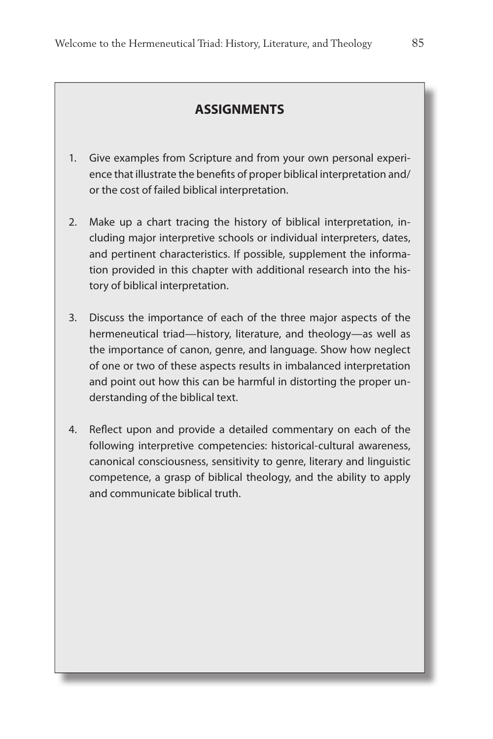### **ASSIGNMENTS**

- 1. Give examples from Scripture and from your own personal experience that illustrate the benefits of proper biblical interpretation and/ or the cost of failed biblical interpretation.
- 2. Make up a chart tracing the history of biblical interpretation, including major interpretive schools or individual interpreters, dates, and pertinent characteristics. If possible, supplement the information provided in this chapter with additional research into the history of biblical interpretation.
- 3. Discuss the importance of each of the three major aspects of the hermeneutical triad—history, literature, and theology—as well as the importance of canon, genre, and language. Show how neglect of one or two of these aspects results in imbalanced interpretation and point out how this can be harmful in distorting the proper understanding of the biblical text.
- 4. Reflect upon and provide a detailed commentary on each of the following interpretive competencies: historical-cultural awareness, canonical consciousness, sensitivity to genre, literary and linguistic competence, a grasp of biblical theology, and the ability to apply and communicate biblical truth.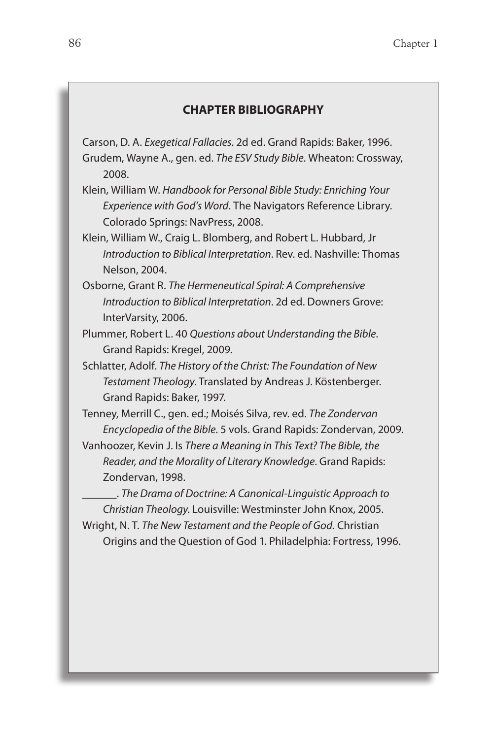#### **CHAPTER BIBLIOGRAPHY**

Carson, D. A. Exegetical Fallacies. 2d ed. Grand Rapids: Baker, 1996. Grudem, Wayne A., gen. ed. The ESV Study Bible. Wheaton: Crossway, 2008.

- Klein, William W. Handbook for Personal Bible Study: Enriching Your Experience with God's Word. The Navigators Reference Library. Colorado Springs: NavPress, 2008.
- Klein, William W., Craig L. Blomberg, and Robert L. Hubbard, Jr Introduction to Biblical Interpretation. Rev. ed. Nashville: Thomas Nelson, 2004.
- Osborne, Grant R. The Hermeneutical Spiral: A Comprehensive Introduction to Biblical Interpretation. 2d ed. Downers Grove: InterVarsity, 2006.
- Plummer, Robert L. 40 Questions about Understanding the Bible. Grand Rapids: Kregel, 2009.
- Schlatter, Adolf. The History of the Christ: The Foundation of New Testament Theology. Translated by Andreas J. Köstenberger. Grand Rapids: Baker, 1997.

Tenney, Merrill C., gen. ed.; Moisés Silva, rev. ed. The Zondervan Encyclopedia of the Bible. 5 vols. Grand Rapids: Zondervan, 2009.

Vanhoozer, Kevin J. Is There a Meaning in This Text? The Bible, the Reader, and the Morality of Literary Knowledge. Grand Rapids: Zondervan, 1998.

 . The Drama of Doctrine: A Canonical-Linguistic Approach to Christian Theology. Louisville: Westminster John Knox, 2005.

Wright, N. T. The New Testament and the People of God. Christian Origins and the Question of God 1. Philadelphia: Fortress, 1996.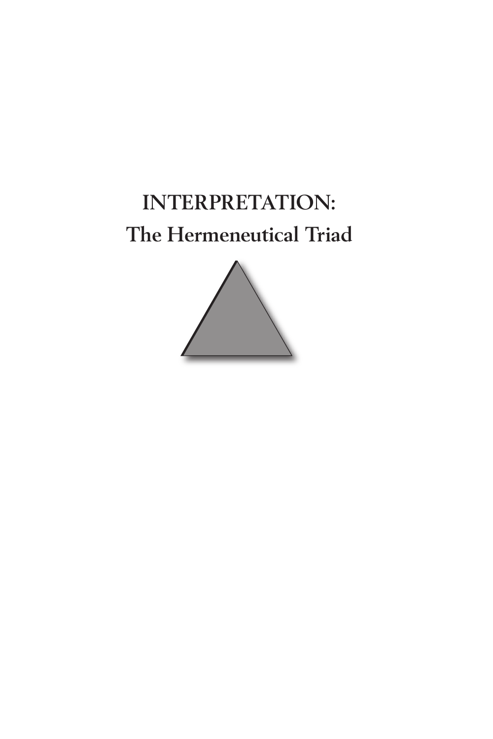# **INTERPRETATION: The Hermeneutical Triad**

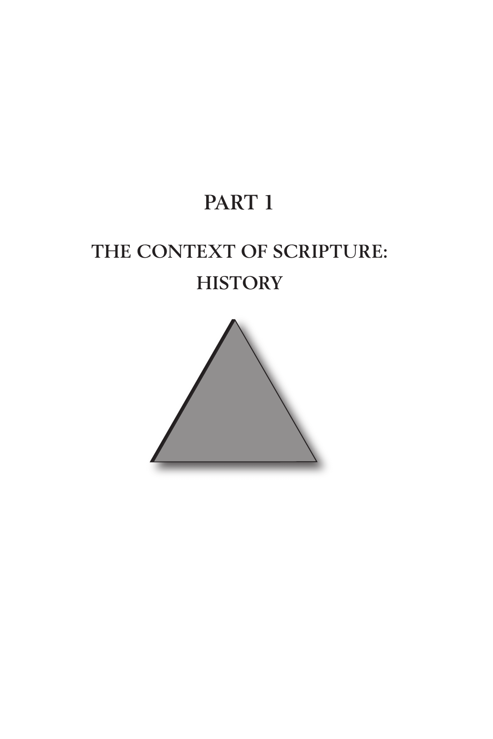## **PART 1**

# **THE CONTEXT OF SCRIPTURE: HISTORY**

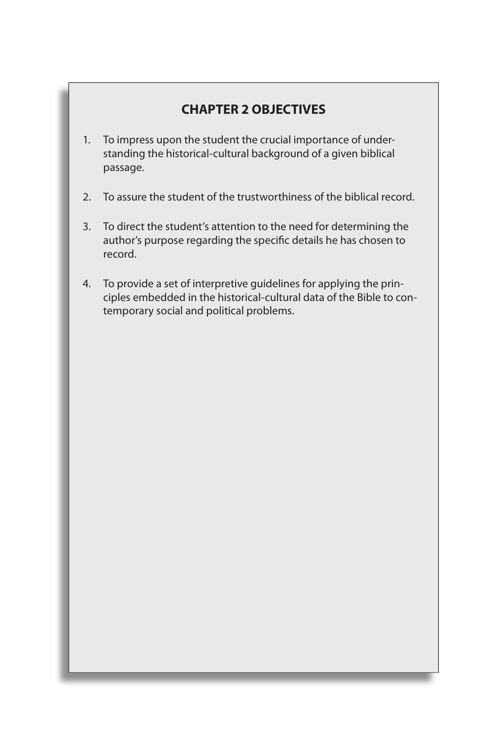#### **CHAPTER 2 OBJECTIVES**

- 1. To impress upon the student the crucial importance of understanding the historical-cultural background of a given biblical passage.
- 2. To assure the student of the trustworthiness of the biblical record.
- 3. To direct the student's attention to the need for determining the author's purpose regarding the specific details he has chosen to record.
- 4. To provide a set of interpretive guidelines for applying the principles embedded in the historical-cultural data of the Bible to contemporary social and political problems.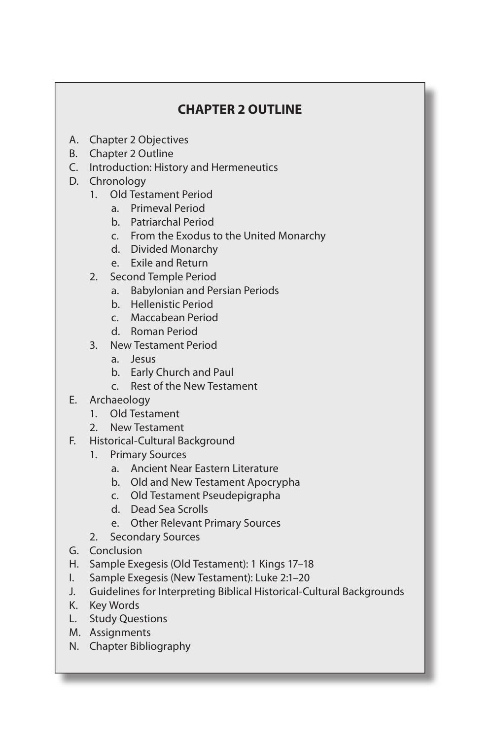## **CHAPTER 2 OUTLINE**

- A. Chapter 2 Objectives
- B. Chapter 2 Outline
- C. Introduction: History and Hermeneutics
- D. Chronology
	- 1. Old Testament Period
		- a. Primeval Period
		- b. Patriarchal Period
		- c. From the Exodus to the United Monarchy
		- d. Divided Monarchy
		- e. Exile and Return
	- 2. Second Temple Period
		- a. Babylonian and Persian Periods
		- b. Hellenistic Period
		- c. Maccabean Period
		- d. Roman Period
	- 3. New Testament Period
		- a. Jesus
		- b. Early Church and Paul
		- c. Rest of the New Testament
- E. Archaeology
	- 1. Old Testament
	- 2. New Testament
- F. Historical-Cultural Background
	- 1. Primary Sources
		- a. Ancient Near Eastern Literature
		- b. Old and New Testament Apocrypha
		- c. Old Testament Pseudepigrapha
		- d. Dead Sea Scrolls
		- e. Other Relevant Primary Sources
	- 2. Secondary Sources
- G. Conclusion
- H. Sample Exegesis (Old Testament): 1 Kings 17–18
- I. Sample Exegesis (New Testament): Luke 2:1–20
- J. Guidelines for Interpreting Biblical Historical-Cultural Backgrounds
- K. Key Words
- L. Study Questions
- M. Assignments
- N. Chapter Bibliography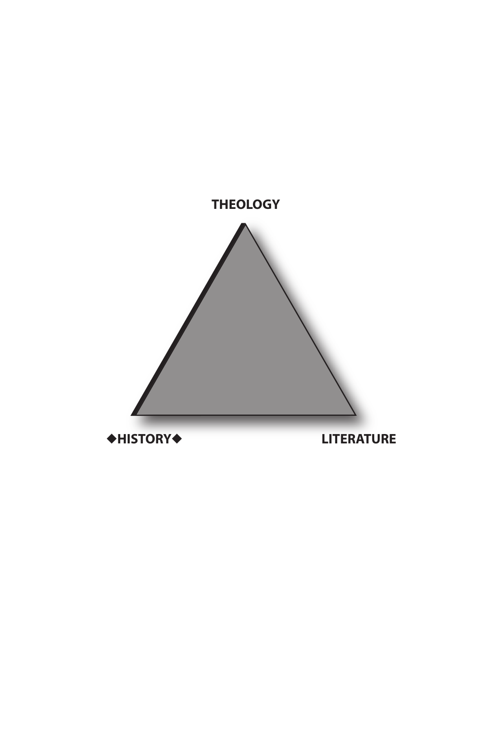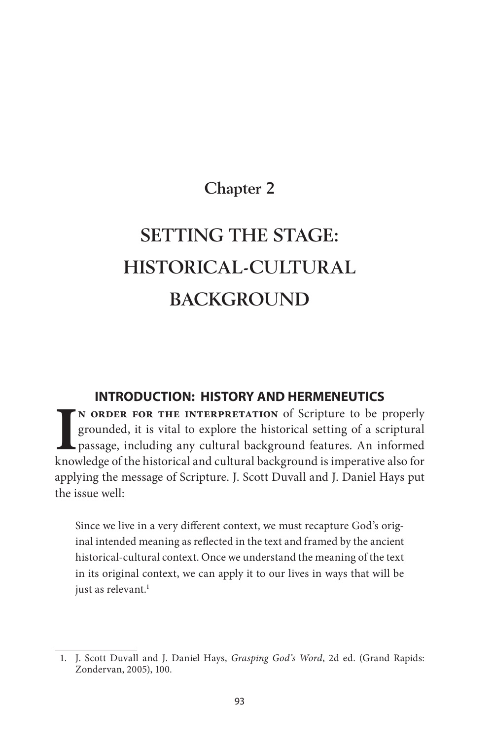## **Chapter 2**

# **SETTING THE STAGE: HISTORICAL-CULTURAL BACKGROUND**

#### **INTRODUCTION: HISTORY AND HERMENEUTICS**

IN ORDER FOR THE INTERPRETATION of Scripture to be properly grounded, it is vital to explore the historical setting of a scriptural passage, including any cultural background features. An informed knowledge of the historic **n order for the interpretation** of Scripture to be properly grounded, it is vital to explore the historical setting of a scriptural passage, including any cultural background features. An informed applying the message of Scripture. J. Scott Duvall and J. Daniel Hays put the issue well:

Since we live in a very different context, we must recapture God's original intended meaning as reflected in the text and framed by the ancient historical-cultural context. Once we understand the meaning of the text in its original context, we can apply it to our lives in ways that will be just as relevant.<sup>1</sup>

<sup>1.</sup> J. Scott Duvall and J. Daniel Hays, Grasping God's Word, 2d ed. (Grand Rapids: Zondervan, 2005), 100.